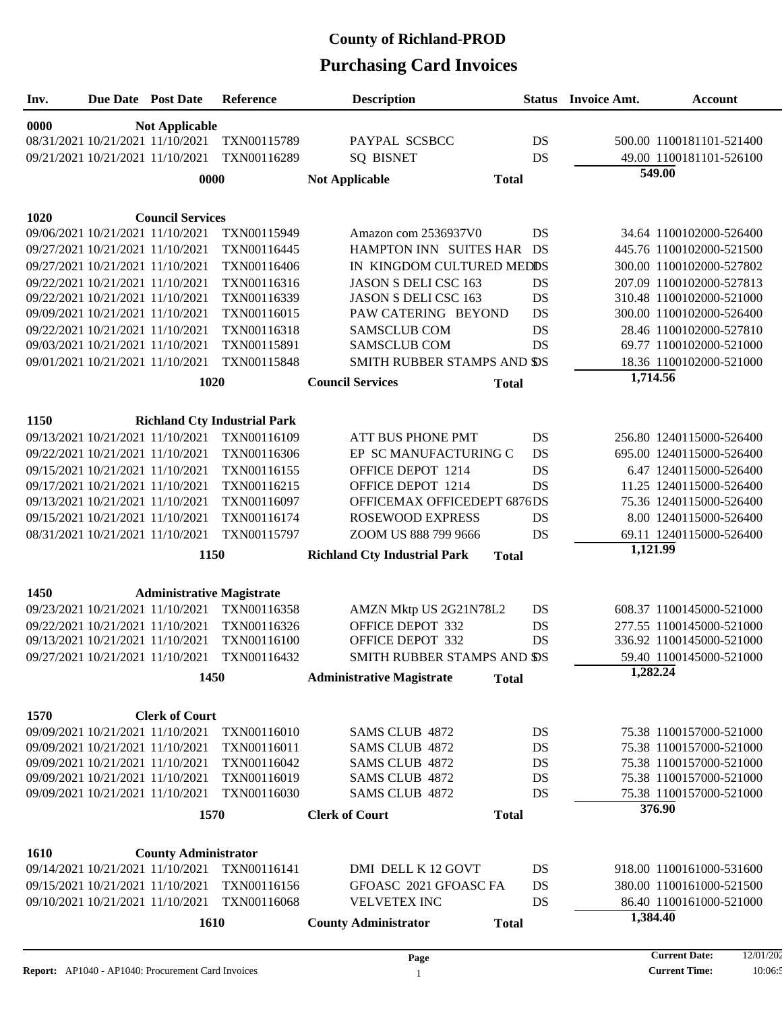| Inv. | Due Date Post Date |                                                                      | Reference                           | <b>Description</b>                             |              | <b>Status</b> Invoice Amt. | <b>Account</b>                                      |  |  |  |  |
|------|--------------------|----------------------------------------------------------------------|-------------------------------------|------------------------------------------------|--------------|----------------------------|-----------------------------------------------------|--|--|--|--|
| 0000 |                    | <b>Not Applicable</b>                                                |                                     |                                                |              |                            |                                                     |  |  |  |  |
|      |                    | 08/31/2021 10/21/2021 11/10/2021                                     | TXN00115789                         | PAYPAL SCSBCC                                  | DS           |                            | 500.00 1100181101-521400                            |  |  |  |  |
|      |                    | 09/21/2021 10/21/2021 11/10/2021                                     | TXN00116289                         | <b>SQ BISNET</b>                               | DS           |                            | 49.00 1100181101-526100                             |  |  |  |  |
|      |                    | 0000                                                                 |                                     | <b>Not Applicable</b>                          | <b>Total</b> |                            | 549.00                                              |  |  |  |  |
|      |                    |                                                                      |                                     |                                                |              |                            |                                                     |  |  |  |  |
| 1020 |                    | <b>Council Services</b>                                              |                                     |                                                |              |                            |                                                     |  |  |  |  |
|      |                    | 09/06/2021 10/21/2021 11/10/2021                                     | TXN00115949                         | Amazon com 2536937V0                           | DS           |                            | 34.64 1100102000-526400                             |  |  |  |  |
|      |                    | 09/27/2021 10/21/2021 11/10/2021                                     | TXN00116445                         | HAMPTON INN SUITES HAR DS                      |              |                            | 445.76 1100102000-521500                            |  |  |  |  |
|      |                    | 09/27/2021 10/21/2021 11/10/2021                                     | TXN00116406                         | IN KINGDOM CULTURED MEDDS                      |              |                            | 300.00 1100102000-527802                            |  |  |  |  |
|      |                    | 09/22/2021 10/21/2021 11/10/2021                                     | TXN00116316                         | <b>JASON S DELI CSC 163</b>                    | DS           |                            | 207.09 1100102000-527813                            |  |  |  |  |
|      |                    | 09/22/2021 10/21/2021 11/10/2021                                     | TXN00116339                         | <b>JASON S DELI CSC 163</b>                    | DS           |                            | 310.48 1100102000-521000                            |  |  |  |  |
|      |                    | 09/09/2021 10/21/2021 11/10/2021                                     | TXN00116015                         | PAW CATERING BEYOND                            | DS           |                            | 300.00 1100102000-526400                            |  |  |  |  |
|      |                    | 09/22/2021 10/21/2021 11/10/2021                                     | TXN00116318                         | <b>SAMSCLUB COM</b>                            | DS           |                            | 28.46 1100102000-527810                             |  |  |  |  |
|      |                    | 09/03/2021 10/21/2021 11/10/2021                                     | TXN00115891                         | <b>SAMSCLUB COM</b>                            | DS           |                            | 69.77 1100102000-521000                             |  |  |  |  |
|      |                    | 09/01/2021 10/21/2021 11/10/2021                                     | TXN00115848                         | SMITH RUBBER STAMPS AND SS                     |              |                            | 18.36 1100102000-521000                             |  |  |  |  |
|      |                    | 1020                                                                 |                                     | <b>Council Services</b>                        | <b>Total</b> | 1,714.56                   |                                                     |  |  |  |  |
|      |                    |                                                                      |                                     |                                                |              |                            |                                                     |  |  |  |  |
| 1150 |                    |                                                                      | <b>Richland Cty Industrial Park</b> |                                                |              |                            |                                                     |  |  |  |  |
|      |                    | 09/13/2021 10/21/2021 11/10/2021                                     | TXN00116109                         | ATT BUS PHONE PMT                              | DS           |                            | 256.80 1240115000-526400                            |  |  |  |  |
|      |                    | 09/22/2021 10/21/2021 11/10/2021                                     | TXN00116306                         | EP SC MANUFACTURING C                          | DS           |                            | 695.00 1240115000-526400                            |  |  |  |  |
|      |                    | 09/15/2021 10/21/2021 11/10/2021                                     | TXN00116155                         | OFFICE DEPOT 1214                              | DS           |                            | 6.47 1240115000-526400                              |  |  |  |  |
|      |                    | 09/17/2021 10/21/2021 11/10/2021                                     | TXN00116215                         | OFFICE DEPOT 1214                              | DS           |                            | 11.25 1240115000-526400                             |  |  |  |  |
|      |                    | 09/13/2021 10/21/2021 11/10/2021                                     | TXN00116097                         | OFFICEMAX OFFICEDEPT 6876DS                    |              |                            | 75.36 1240115000-526400                             |  |  |  |  |
|      |                    | 09/15/2021 10/21/2021 11/10/2021                                     | TXN00116174                         | <b>ROSEWOOD EXPRESS</b>                        | DS           |                            | 8.00 1240115000-526400                              |  |  |  |  |
|      |                    | 08/31/2021 10/21/2021 11/10/2021                                     | TXN00115797                         | ZOOM US 888 799 9666                           | DS           |                            | 69.11 1240115000-526400                             |  |  |  |  |
|      |                    | 1150                                                                 |                                     | <b>Richland Cty Industrial Park</b>            | <b>Total</b> | 1,121.99                   |                                                     |  |  |  |  |
|      |                    |                                                                      |                                     |                                                |              |                            |                                                     |  |  |  |  |
| 1450 |                    | <b>Administrative Magistrate</b>                                     |                                     |                                                |              |                            |                                                     |  |  |  |  |
|      |                    | 09/23/2021 10/21/2021 11/10/2021                                     | TXN00116358                         | AMZN Mktp US 2G21N78L2                         | DS           |                            | 608.37 1100145000-521000                            |  |  |  |  |
|      |                    | 09/22/2021 10/21/2021 11/10/2021                                     | TXN00116326                         | OFFICE DEPOT 332                               | DS           |                            | 277.55 1100145000-521000                            |  |  |  |  |
|      |                    | 09/13/2021 10/21/2021 11/10/2021<br>09/27/2021 10/21/2021 11/10/2021 | TXN00116100<br>TXN00116432          | OFFICE DEPOT 332<br>SMITH RUBBER STAMPS AND SS | DS           |                            | 336.92 1100145000-521000<br>59.40 1100145000-521000 |  |  |  |  |
|      |                    |                                                                      |                                     |                                                |              | 1,282.24                   |                                                     |  |  |  |  |
|      |                    | 1450                                                                 |                                     | <b>Administrative Magistrate</b>               | <b>Total</b> |                            |                                                     |  |  |  |  |
| 1570 |                    | <b>Clerk of Court</b>                                                |                                     |                                                |              |                            |                                                     |  |  |  |  |
|      |                    | 09/09/2021 10/21/2021 11/10/2021                                     | TXN00116010                         | SAMS CLUB 4872                                 | DS           |                            | 75.38 1100157000-521000                             |  |  |  |  |
|      |                    | 09/09/2021 10/21/2021 11/10/2021                                     | TXN00116011                         | <b>SAMS CLUB 4872</b>                          | DS           |                            | 75.38 1100157000-521000                             |  |  |  |  |
|      |                    | 09/09/2021 10/21/2021 11/10/2021                                     | TXN00116042                         | <b>SAMS CLUB 4872</b>                          | DS           |                            | 75.38 1100157000-521000                             |  |  |  |  |
|      |                    | 09/09/2021 10/21/2021 11/10/2021                                     | TXN00116019                         | <b>SAMS CLUB 4872</b>                          | DS           |                            | 75.38 1100157000-521000                             |  |  |  |  |
|      |                    | 09/09/2021 10/21/2021 11/10/2021                                     | TXN00116030                         | <b>SAMS CLUB 4872</b>                          | DS           |                            | 75.38 1100157000-521000                             |  |  |  |  |
|      |                    | 1570                                                                 |                                     | <b>Clerk of Court</b>                          | <b>Total</b> |                            | 376.90                                              |  |  |  |  |
|      |                    |                                                                      |                                     |                                                |              |                            |                                                     |  |  |  |  |
| 1610 |                    | <b>County Administrator</b>                                          |                                     |                                                |              |                            |                                                     |  |  |  |  |
|      |                    | 09/14/2021 10/21/2021 11/10/2021                                     | TXN00116141                         | DMI DELL K 12 GOVT                             | DS           |                            | 918.00 1100161000-531600                            |  |  |  |  |
|      |                    | 09/15/2021 10/21/2021 11/10/2021                                     | TXN00116156                         | GFOASC 2021 GFOASC FA                          | DS           |                            | 380.00 1100161000-521500                            |  |  |  |  |
|      |                    | 09/10/2021 10/21/2021 11/10/2021                                     | TXN00116068                         | <b>VELVETEX INC</b>                            | DS           |                            | 86.40 1100161000-521000                             |  |  |  |  |
|      |                    | 1610                                                                 |                                     | <b>County Administrator</b>                    | <b>Total</b> | 1,384.40                   |                                                     |  |  |  |  |
|      |                    |                                                                      |                                     |                                                |              |                            |                                                     |  |  |  |  |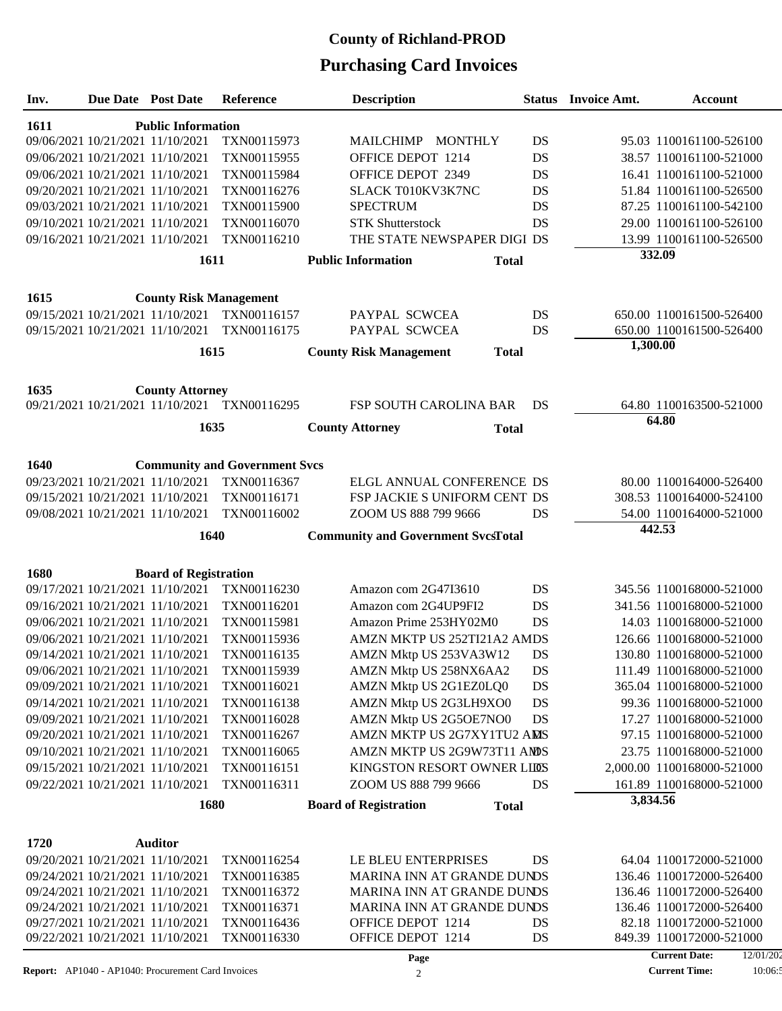### **Purchasing Card Invoices County of Richland-PROD**

| Due Date Post Date<br><b>Description</b><br>Inv.<br><b>Reference</b><br><b>Status</b> Invoice Amt.                                                       | <b>Account</b>                                      |
|----------------------------------------------------------------------------------------------------------------------------------------------------------|-----------------------------------------------------|
| <b>Public Information</b><br><b>1611</b>                                                                                                                 |                                                     |
| 09/06/2021 10/21/2021 11/10/2021<br>TXN00115973<br>MAILCHIMP MONTHLY<br>DS                                                                               | 95.03 1100161100-526100                             |
| 09/06/2021 10/21/2021 11/10/2021<br>TXN00115955<br>OFFICE DEPOT 1214<br>DS                                                                               | 38.57 1100161100-521000                             |
| TXN00115984<br>OFFICE DEPOT 2349<br>DS<br>09/06/2021 10/21/2021 11/10/2021                                                                               | 16.41 1100161100-521000                             |
| 09/20/2021 10/21/2021 11/10/2021<br>TXN00116276<br>SLACK T010KV3K7NC<br>DS                                                                               | 51.84 1100161100-526500                             |
| <b>SPECTRUM</b><br>DS<br>09/03/2021 10/21/2021 11/10/2021<br>TXN00115900                                                                                 | 87.25 1100161100-542100                             |
| 09/10/2021 10/21/2021 11/10/2021<br>TXN00116070<br><b>STK Shutterstock</b><br>DS                                                                         | 29.00 1100161100-526100                             |
| 09/16/2021 10/21/2021 11/10/2021<br>TXN00116210<br>THE STATE NEWSPAPER DIGI DS                                                                           | 13.99 1100161100-526500                             |
| 1611<br><b>Public Information</b>                                                                                                                        | 332.09                                              |
| <b>Total</b>                                                                                                                                             |                                                     |
| 1615<br><b>County Risk Management</b>                                                                                                                    |                                                     |
| TXN00116157<br>09/15/2021 10/21/2021 11/10/2021<br>PAYPAL SCWCEA<br>DS                                                                                   | 650.00 1100161500-526400                            |
| 09/15/2021 10/21/2021 11/10/2021<br>TXN00116175<br>PAYPAL SCWCEA<br>DS                                                                                   | 650.00 1100161500-526400                            |
| 1615<br><b>County Risk Management</b><br><b>Total</b>                                                                                                    | 1,300.00                                            |
|                                                                                                                                                          |                                                     |
| 1635<br><b>County Attorney</b>                                                                                                                           |                                                     |
| 09/21/2021 10/21/2021 11/10/2021 TXN00116295<br><b>FSP SOUTH CAROLINA BAR</b><br>DS                                                                      | 64.80 1100163500-521000                             |
| 1635<br><b>County Attorney</b><br><b>Total</b>                                                                                                           | 64.80                                               |
|                                                                                                                                                          |                                                     |
| 1640<br><b>Community and Government Svcs</b>                                                                                                             |                                                     |
| 09/23/2021 10/21/2021 11/10/2021<br>TXN00116367<br>ELGL ANNUAL CONFERENCE DS                                                                             | 80.00 1100164000-526400                             |
| 09/15/2021 10/21/2021 11/10/2021<br>TXN00116171<br><b>FSP JACKIE S UNIFORM CENT DS</b>                                                                   | 308.53 1100164000-524100                            |
| 09/08/2021 10/21/2021 11/10/2021<br>TXN00116002<br>ZOOM US 888 799 9666<br>DS                                                                            | 54.00 1100164000-521000                             |
| 1640<br><b>Community and Government SvcsTotal</b>                                                                                                        | 442.53                                              |
|                                                                                                                                                          |                                                     |
| 1680<br><b>Board of Registration</b>                                                                                                                     |                                                     |
| 09/17/2021 10/21/2021 11/10/2021<br>TXN00116230<br>DS<br>Amazon com 2G47I3610                                                                            | 345.56 1100168000-521000                            |
| 09/16/2021 10/21/2021 11/10/2021<br>TXN00116201<br>Amazon com 2G4UP9FI2<br>DS                                                                            | 341.56 1100168000-521000                            |
| TXN00115981<br>DS<br>09/06/2021 10/21/2021 11/10/2021<br>Amazon Prime 253HY02M0                                                                          | 14.03 1100168000-521000                             |
| AMZN MKTP US 252TI21A2 AMDS<br>09/06/2021 10/21/2021 11/10/2021<br>TXN00115936                                                                           | 126.66 1100168000-521000                            |
| 09/14/2021 10/21/2021 11/10/2021<br>TXN00116135<br>AMZN Mktp US 253VA3W12<br>DS                                                                          | 130.80 1100168000-521000                            |
| AMZN Mktp US 258NX6AA2<br>DS<br>09/06/2021 10/21/2021 11/10/2021<br>TXN00115939                                                                          | 111.49 1100168000-521000                            |
| AMZN Mktp US 2G1EZ0LQ0<br>DS<br>09/09/2021 10/21/2021 11/10/2021<br>TXN00116021                                                                          | 365.04 1100168000-521000                            |
| TXN00116138<br>AMZN Mktp US 2G3LH9XO0<br>09/14/2021 10/21/2021 11/10/2021<br>DS                                                                          | 99.36 1100168000-521000                             |
| 09/09/2021 10/21/2021 11/10/2021<br>TXN00116028<br>AMZN Mktp US 2G5OE7NO0<br>DS                                                                          | 17.27 1100168000-521000                             |
| 09/20/2021 10/21/2021 11/10/2021<br>TXN00116267<br>AMZN MKTP US 2G7XY1TU2 AMS                                                                            | 97.15 1100168000-521000                             |
| TXN00116065<br>AMZN MKTP US 2G9W73T11 AMDS<br>09/10/2021 10/21/2021 11/10/2021                                                                           | 23.75 1100168000-521000                             |
| 09/15/2021 10/21/2021 11/10/2021<br>TXN00116151<br>KINGSTON RESORT OWNER LIDS                                                                            | 2,000.00 1100168000-521000                          |
| 09/22/2021 10/21/2021 11/10/2021<br>TXN00116311<br>ZOOM US 888 799 9666<br>DS                                                                            | 161.89 1100168000-521000<br>3,834.56                |
| 1680<br><b>Board of Registration</b><br><b>Total</b>                                                                                                     |                                                     |
| 1720<br><b>Auditor</b>                                                                                                                                   |                                                     |
| 09/20/2021 10/21/2021 11/10/2021<br>TXN00116254<br>LE BLEU ENTERPRISES<br>DS                                                                             |                                                     |
| 09/24/2021 10/21/2021 11/10/2021<br>TXN00116385<br>MARINA INN AT GRANDE DUNDS                                                                            |                                                     |
|                                                                                                                                                          | 64.04 1100172000-521000                             |
|                                                                                                                                                          | 136.46 1100172000-526400                            |
| 09/24/2021 10/21/2021 11/10/2021<br>MARINA INN AT GRANDE DUNDS<br>TXN00116372                                                                            | 136.46 1100172000-526400                            |
| 09/24/2021 10/21/2021 11/10/2021<br>TXN00116371<br>MARINA INN AT GRANDE DUNDS                                                                            | 136.46 1100172000-526400                            |
| 09/27/2021 10/21/2021 11/10/2021<br>TXN00116436<br>OFFICE DEPOT 1214<br>DS<br>09/22/2021 10/21/2021 11/10/2021<br>TXN00116330<br>OFFICE DEPOT 1214<br>DS | 82.18 1100172000-521000<br>849.39 1100172000-521000 |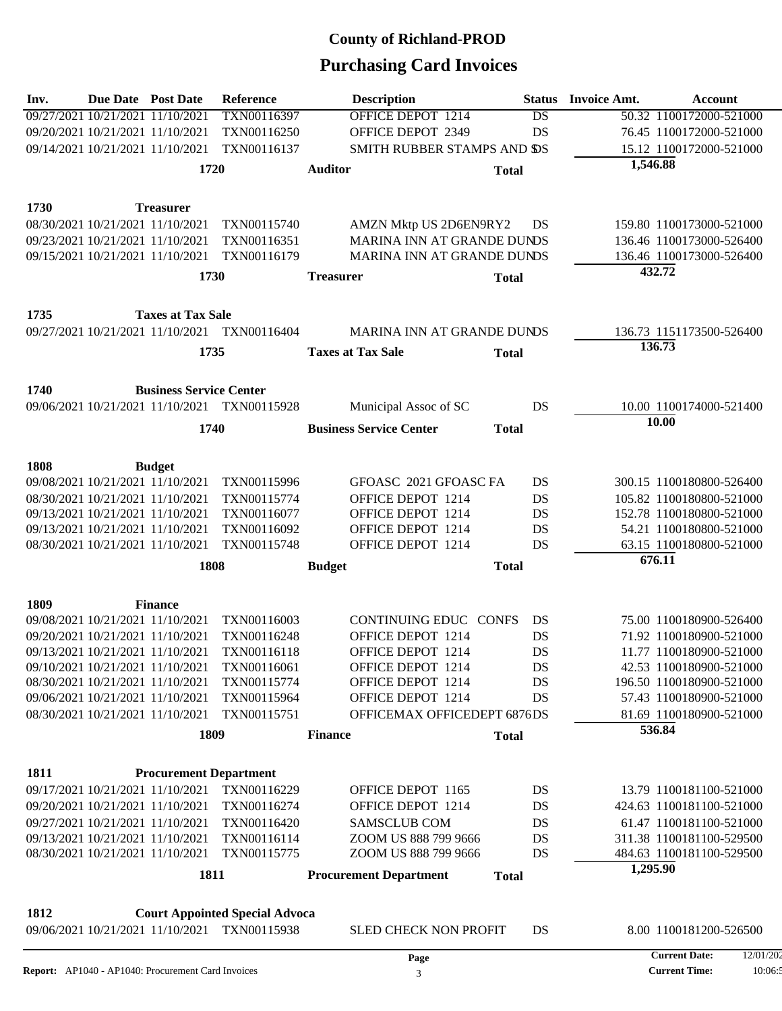| Inv. | <b>Due Date Post Date</b>                       |                                                                      | <b>Reference</b>                      | <b>Description</b>                           | <b>Status</b> | <b>Invoice Amt.</b> | <b>Account</b>                                       |  |  |  |
|------|-------------------------------------------------|----------------------------------------------------------------------|---------------------------------------|----------------------------------------------|---------------|---------------------|------------------------------------------------------|--|--|--|
|      |                                                 | 09/27/2021 10/21/2021 11/10/2021                                     | TXN00116397                           | <b>OFFICE DEPOT 1214</b>                     | DS            |                     | 50.32 1100172000-521000                              |  |  |  |
|      |                                                 | 09/20/2021 10/21/2021 11/10/2021                                     | TXN00116250                           | OFFICE DEPOT 2349                            | DS            |                     | 76.45 1100172000-521000                              |  |  |  |
|      |                                                 | 09/14/2021 10/21/2021 11/10/2021                                     | TXN00116137                           | SMITH RUBBER STAMPS AND SS                   |               |                     | 15.12 1100172000-521000                              |  |  |  |
|      |                                                 | 1720                                                                 |                                       | <b>Auditor</b>                               | <b>Total</b>  | 1,546.88            |                                                      |  |  |  |
|      |                                                 |                                                                      |                                       |                                              |               |                     |                                                      |  |  |  |
| 1730 |                                                 | <b>Treasurer</b>                                                     |                                       |                                              |               |                     |                                                      |  |  |  |
|      |                                                 | 08/30/2021 10/21/2021 11/10/2021                                     | TXN00115740                           | AMZN Mktp US 2D6EN9RY2                       | DS            |                     | 159.80 1100173000-521000                             |  |  |  |
|      |                                                 | 09/23/2021 10/21/2021 11/10/2021                                     | TXN00116351                           | MARINA INN AT GRANDE DUNDS                   |               |                     | 136.46 1100173000-526400                             |  |  |  |
|      |                                                 | 09/15/2021 10/21/2021 11/10/2021                                     | TXN00116179                           | MARINA INN AT GRANDE DUNDS                   |               |                     | 136.46 1100173000-526400                             |  |  |  |
|      |                                                 | 1730                                                                 |                                       |                                              |               | 432.72              |                                                      |  |  |  |
|      |                                                 |                                                                      |                                       | <b>Treasurer</b>                             | <b>Total</b>  |                     |                                                      |  |  |  |
| 1735 |                                                 | <b>Taxes at Tax Sale</b>                                             |                                       |                                              |               |                     |                                                      |  |  |  |
|      |                                                 | 09/27/2021 10/21/2021 11/10/2021                                     | TXN00116404                           | <b>MARINA INN AT GRANDE DUNDS</b>            |               |                     | 136.73 1151173500-526400                             |  |  |  |
|      |                                                 |                                                                      |                                       |                                              |               | 136.73              |                                                      |  |  |  |
|      |                                                 | 1735                                                                 |                                       | <b>Taxes at Tax Sale</b>                     | <b>Total</b>  |                     |                                                      |  |  |  |
| 1740 |                                                 | <b>Business Service Center</b>                                       |                                       |                                              |               |                     |                                                      |  |  |  |
|      |                                                 | 09/06/2021 10/21/2021 11/10/2021                                     | TXN00115928                           | Municipal Assoc of SC                        | DS            |                     | 10.00 1100174000-521400                              |  |  |  |
|      |                                                 |                                                                      |                                       |                                              |               | 10.00               |                                                      |  |  |  |
|      |                                                 | 1740                                                                 |                                       | <b>Business Service Center</b>               | <b>Total</b>  |                     |                                                      |  |  |  |
|      |                                                 |                                                                      |                                       |                                              |               |                     |                                                      |  |  |  |
| 1808 |                                                 | <b>Budget</b>                                                        |                                       |                                              |               |                     |                                                      |  |  |  |
|      |                                                 | 09/08/2021 10/21/2021 11/10/2021                                     | TXN00115996                           | GFOASC 2021 GFOASC FA                        | DS            |                     | 300.15 1100180800-526400                             |  |  |  |
|      |                                                 | 08/30/2021 10/21/2021 11/10/2021                                     | TXN00115774                           | OFFICE DEPOT 1214                            | DS            |                     | 105.82 1100180800-521000                             |  |  |  |
|      |                                                 | 09/13/2021 10/21/2021 11/10/2021                                     | TXN00116077                           | OFFICE DEPOT 1214                            | DS            |                     | 152.78 1100180800-521000                             |  |  |  |
|      |                                                 | 09/13/2021 10/21/2021 11/10/2021                                     | TXN00116092                           | OFFICE DEPOT 1214                            | DS            |                     | 54.21 1100180800-521000                              |  |  |  |
|      |                                                 | 08/30/2021 10/21/2021 11/10/2021                                     | TXN00115748                           | OFFICE DEPOT 1214                            | DS            |                     | 63.15 1100180800-521000                              |  |  |  |
|      | 676.11<br>1808<br><b>Total</b><br><b>Budget</b> |                                                                      |                                       |                                              |               |                     |                                                      |  |  |  |
|      |                                                 |                                                                      |                                       |                                              |               |                     |                                                      |  |  |  |
| 1809 |                                                 | <b>Finance</b>                                                       |                                       |                                              |               |                     |                                                      |  |  |  |
|      |                                                 | 09/08/2021 10/21/2021 11/10/2021                                     | TXN00116003                           | CONTINUING EDUC CONFS                        | DS            |                     | 75.00 1100180900-526400                              |  |  |  |
|      |                                                 | 09/20/2021 10/21/2021 11/10/2021                                     | TXN00116248                           | OFFICE DEPOT 1214                            | DS            |                     | 71.92 1100180900-521000                              |  |  |  |
|      |                                                 | 09/13/2021 10/21/2021 11/10/2021                                     | TXN00116118                           | OFFICE DEPOT 1214                            | DS            |                     | 11.77 1100180900-521000                              |  |  |  |
|      |                                                 | 09/10/2021 10/21/2021 11/10/2021<br>08/30/2021 10/21/2021 11/10/2021 | TXN00116061<br>TXN00115774            | OFFICE DEPOT 1214<br>OFFICE DEPOT 1214       | DS            |                     | 42.53 1100180900-521000<br>196.50 1100180900-521000  |  |  |  |
|      |                                                 | 09/06/2021 10/21/2021 11/10/2021                                     | TXN00115964                           | OFFICE DEPOT 1214                            | DS<br>DS      |                     | 57.43 1100180900-521000                              |  |  |  |
|      |                                                 | 08/30/2021 10/21/2021 11/10/2021                                     | TXN00115751                           | OFFICEMAX OFFICEDEPT 6876DS                  |               |                     | 81.69 1100180900-521000                              |  |  |  |
|      |                                                 |                                                                      |                                       |                                              |               | 536.84              |                                                      |  |  |  |
|      |                                                 | 1809                                                                 |                                       | <b>Finance</b>                               | <b>Total</b>  |                     |                                                      |  |  |  |
| 1811 |                                                 |                                                                      |                                       |                                              |               |                     |                                                      |  |  |  |
|      |                                                 | <b>Procurement Department</b><br>09/17/2021 10/21/2021 11/10/2021    | TXN00116229                           | OFFICE DEPOT 1165                            |               |                     | 13.79 1100181100-521000                              |  |  |  |
|      |                                                 |                                                                      |                                       | OFFICE DEPOT 1214                            | DS            |                     |                                                      |  |  |  |
|      |                                                 | 09/20/2021 10/21/2021 11/10/2021                                     | TXN00116274                           |                                              | DS            |                     | 424.63 1100181100-521000                             |  |  |  |
|      |                                                 | 09/27/2021 10/21/2021 11/10/2021                                     | TXN00116420                           | <b>SAMSCLUB COM</b>                          | DS            |                     | 61.47 1100181100-521000                              |  |  |  |
|      |                                                 | 09/13/2021 10/21/2021 11/10/2021<br>08/30/2021 10/21/2021 11/10/2021 | TXN00116114<br>TXN00115775            | ZOOM US 888 799 9666<br>ZOOM US 888 799 9666 | DS<br>DS      |                     | 311.38 1100181100-529500<br>484.63 1100181100-529500 |  |  |  |
|      |                                                 |                                                                      |                                       |                                              |               | 1,295.90            |                                                      |  |  |  |
|      |                                                 | 1811                                                                 |                                       | <b>Procurement Department</b>                | <b>Total</b>  |                     |                                                      |  |  |  |
|      |                                                 |                                                                      |                                       |                                              |               |                     |                                                      |  |  |  |
| 1812 |                                                 |                                                                      | <b>Court Appointed Special Advoca</b> |                                              |               |                     |                                                      |  |  |  |
|      |                                                 | 09/06/2021 10/21/2021 11/10/2021                                     | TXN00115938                           | <b>SLED CHECK NON PROFIT</b>                 | DS            |                     | 8.00 1100181200-526500                               |  |  |  |
|      |                                                 |                                                                      |                                       | Page                                         |               |                     | <b>Current Date:</b><br>12/01/20                     |  |  |  |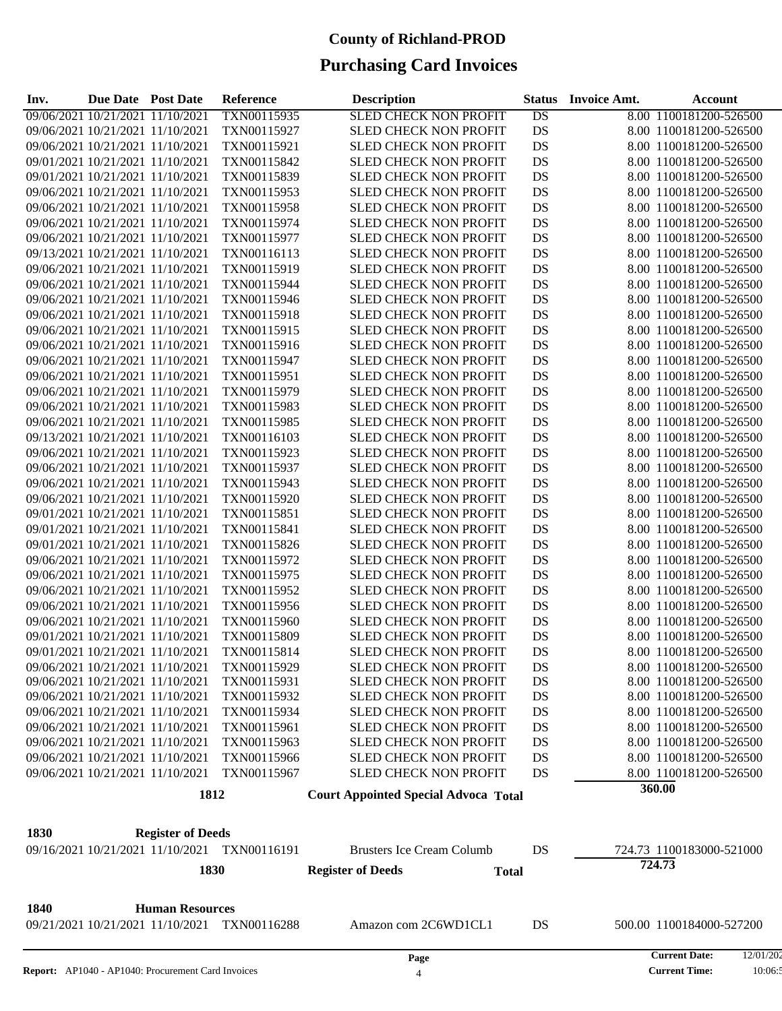| 8.00 1100181200-526500<br>09/06/2021 10/21/2021 11/10/2021<br>TXN00115935<br><b>SLED CHECK NON PROFIT</b><br>DS<br>09/06/2021 10/21/2021 11/10/2021<br>DS<br>TXN00115927<br>SLED CHECK NON PROFIT<br>8.00 1100181200-526500<br>09/06/2021 10/21/2021 11/10/2021<br>DS<br>TXN00115921<br>SLED CHECK NON PROFIT<br>8.00 1100181200-526500<br>DS<br>09/01/2021 10/21/2021 11/10/2021<br>TXN00115842<br>SLED CHECK NON PROFIT<br>8.00 1100181200-526500<br>09/01/2021 10/21/2021 11/10/2021<br>DS<br>TXN00115839<br>SLED CHECK NON PROFIT<br>8.00 1100181200-526500<br>DS<br>09/06/2021 10/21/2021 11/10/2021<br>TXN00115953<br>SLED CHECK NON PROFIT<br>8.00 1100181200-526500<br>09/06/2021 10/21/2021 11/10/2021<br>DS<br>TXN00115958<br>SLED CHECK NON PROFIT<br>8.00 1100181200-526500<br>DS<br>09/06/2021 10/21/2021 11/10/2021<br>TXN00115974<br>SLED CHECK NON PROFIT<br>8.00 1100181200-526500<br>09/06/2021 10/21/2021 11/10/2021<br>DS<br>TXN00115977<br>SLED CHECK NON PROFIT<br>8.00 1100181200-526500<br>DS<br>09/13/2021 10/21/2021 11/10/2021<br>TXN00116113<br>SLED CHECK NON PROFIT<br>8.00 1100181200-526500<br>09/06/2021 10/21/2021 11/10/2021<br>DS<br>TXN00115919<br>SLED CHECK NON PROFIT<br>8.00 1100181200-526500<br>DS<br>09/06/2021 10/21/2021 11/10/2021<br>TXN00115944<br>SLED CHECK NON PROFIT<br>8.00 1100181200-526500 |
|-----------------------------------------------------------------------------------------------------------------------------------------------------------------------------------------------------------------------------------------------------------------------------------------------------------------------------------------------------------------------------------------------------------------------------------------------------------------------------------------------------------------------------------------------------------------------------------------------------------------------------------------------------------------------------------------------------------------------------------------------------------------------------------------------------------------------------------------------------------------------------------------------------------------------------------------------------------------------------------------------------------------------------------------------------------------------------------------------------------------------------------------------------------------------------------------------------------------------------------------------------------------------------------------------------------------------------------------------------|
|                                                                                                                                                                                                                                                                                                                                                                                                                                                                                                                                                                                                                                                                                                                                                                                                                                                                                                                                                                                                                                                                                                                                                                                                                                                                                                                                                     |
|                                                                                                                                                                                                                                                                                                                                                                                                                                                                                                                                                                                                                                                                                                                                                                                                                                                                                                                                                                                                                                                                                                                                                                                                                                                                                                                                                     |
|                                                                                                                                                                                                                                                                                                                                                                                                                                                                                                                                                                                                                                                                                                                                                                                                                                                                                                                                                                                                                                                                                                                                                                                                                                                                                                                                                     |
|                                                                                                                                                                                                                                                                                                                                                                                                                                                                                                                                                                                                                                                                                                                                                                                                                                                                                                                                                                                                                                                                                                                                                                                                                                                                                                                                                     |
|                                                                                                                                                                                                                                                                                                                                                                                                                                                                                                                                                                                                                                                                                                                                                                                                                                                                                                                                                                                                                                                                                                                                                                                                                                                                                                                                                     |
|                                                                                                                                                                                                                                                                                                                                                                                                                                                                                                                                                                                                                                                                                                                                                                                                                                                                                                                                                                                                                                                                                                                                                                                                                                                                                                                                                     |
|                                                                                                                                                                                                                                                                                                                                                                                                                                                                                                                                                                                                                                                                                                                                                                                                                                                                                                                                                                                                                                                                                                                                                                                                                                                                                                                                                     |
|                                                                                                                                                                                                                                                                                                                                                                                                                                                                                                                                                                                                                                                                                                                                                                                                                                                                                                                                                                                                                                                                                                                                                                                                                                                                                                                                                     |
|                                                                                                                                                                                                                                                                                                                                                                                                                                                                                                                                                                                                                                                                                                                                                                                                                                                                                                                                                                                                                                                                                                                                                                                                                                                                                                                                                     |
|                                                                                                                                                                                                                                                                                                                                                                                                                                                                                                                                                                                                                                                                                                                                                                                                                                                                                                                                                                                                                                                                                                                                                                                                                                                                                                                                                     |
|                                                                                                                                                                                                                                                                                                                                                                                                                                                                                                                                                                                                                                                                                                                                                                                                                                                                                                                                                                                                                                                                                                                                                                                                                                                                                                                                                     |
|                                                                                                                                                                                                                                                                                                                                                                                                                                                                                                                                                                                                                                                                                                                                                                                                                                                                                                                                                                                                                                                                                                                                                                                                                                                                                                                                                     |
| 09/06/2021 10/21/2021 11/10/2021<br>DS<br>TXN00115946<br>SLED CHECK NON PROFIT<br>8.00 1100181200-526500                                                                                                                                                                                                                                                                                                                                                                                                                                                                                                                                                                                                                                                                                                                                                                                                                                                                                                                                                                                                                                                                                                                                                                                                                                            |
| DS<br>09/06/2021 10/21/2021 11/10/2021<br>TXN00115918<br><b>SLED CHECK NON PROFIT</b><br>8.00 1100181200-526500                                                                                                                                                                                                                                                                                                                                                                                                                                                                                                                                                                                                                                                                                                                                                                                                                                                                                                                                                                                                                                                                                                                                                                                                                                     |
| DS<br>09/06/2021 10/21/2021 11/10/2021<br>TXN00115915<br>SLED CHECK NON PROFIT<br>8.00 1100181200-526500                                                                                                                                                                                                                                                                                                                                                                                                                                                                                                                                                                                                                                                                                                                                                                                                                                                                                                                                                                                                                                                                                                                                                                                                                                            |
| DS<br>09/06/2021 10/21/2021 11/10/2021<br>TXN00115916<br><b>SLED CHECK NON PROFIT</b><br>8.00 1100181200-526500                                                                                                                                                                                                                                                                                                                                                                                                                                                                                                                                                                                                                                                                                                                                                                                                                                                                                                                                                                                                                                                                                                                                                                                                                                     |
| DS<br>09/06/2021 10/21/2021 11/10/2021<br>TXN00115947<br>SLED CHECK NON PROFIT<br>8.00 1100181200-526500                                                                                                                                                                                                                                                                                                                                                                                                                                                                                                                                                                                                                                                                                                                                                                                                                                                                                                                                                                                                                                                                                                                                                                                                                                            |
| 09/06/2021 10/21/2021 11/10/2021<br>DS<br>TXN00115951<br>SLED CHECK NON PROFIT<br>8.00 1100181200-526500                                                                                                                                                                                                                                                                                                                                                                                                                                                                                                                                                                                                                                                                                                                                                                                                                                                                                                                                                                                                                                                                                                                                                                                                                                            |
| DS<br>09/06/2021 10/21/2021 11/10/2021<br>TXN00115979<br>SLED CHECK NON PROFIT<br>8.00 1100181200-526500                                                                                                                                                                                                                                                                                                                                                                                                                                                                                                                                                                                                                                                                                                                                                                                                                                                                                                                                                                                                                                                                                                                                                                                                                                            |
| 09/06/2021 10/21/2021 11/10/2021<br>DS<br>TXN00115983<br>SLED CHECK NON PROFIT<br>8.00 1100181200-526500                                                                                                                                                                                                                                                                                                                                                                                                                                                                                                                                                                                                                                                                                                                                                                                                                                                                                                                                                                                                                                                                                                                                                                                                                                            |
| DS<br>09/06/2021 10/21/2021 11/10/2021<br>TXN00115985<br>SLED CHECK NON PROFIT<br>8.00 1100181200-526500                                                                                                                                                                                                                                                                                                                                                                                                                                                                                                                                                                                                                                                                                                                                                                                                                                                                                                                                                                                                                                                                                                                                                                                                                                            |
| 09/13/2021 10/21/2021 11/10/2021<br>DS<br>TXN00116103<br>SLED CHECK NON PROFIT<br>8.00 1100181200-526500                                                                                                                                                                                                                                                                                                                                                                                                                                                                                                                                                                                                                                                                                                                                                                                                                                                                                                                                                                                                                                                                                                                                                                                                                                            |
| DS<br>09/06/2021 10/21/2021 11/10/2021<br>TXN00115923<br>SLED CHECK NON PROFIT<br>8.00 1100181200-526500                                                                                                                                                                                                                                                                                                                                                                                                                                                                                                                                                                                                                                                                                                                                                                                                                                                                                                                                                                                                                                                                                                                                                                                                                                            |
| 09/06/2021 10/21/2021 11/10/2021<br>DS<br>TXN00115937<br>SLED CHECK NON PROFIT<br>8.00 1100181200-526500                                                                                                                                                                                                                                                                                                                                                                                                                                                                                                                                                                                                                                                                                                                                                                                                                                                                                                                                                                                                                                                                                                                                                                                                                                            |
| DS<br>09/06/2021 10/21/2021 11/10/2021<br>TXN00115943<br>SLED CHECK NON PROFIT<br>8.00 1100181200-526500                                                                                                                                                                                                                                                                                                                                                                                                                                                                                                                                                                                                                                                                                                                                                                                                                                                                                                                                                                                                                                                                                                                                                                                                                                            |
| 09/06/2021 10/21/2021 11/10/2021<br>DS<br>TXN00115920<br>SLED CHECK NON PROFIT<br>8.00 1100181200-526500                                                                                                                                                                                                                                                                                                                                                                                                                                                                                                                                                                                                                                                                                                                                                                                                                                                                                                                                                                                                                                                                                                                                                                                                                                            |
| DS<br>09/01/2021 10/21/2021 11/10/2021<br>TXN00115851<br>SLED CHECK NON PROFIT<br>8.00 1100181200-526500                                                                                                                                                                                                                                                                                                                                                                                                                                                                                                                                                                                                                                                                                                                                                                                                                                                                                                                                                                                                                                                                                                                                                                                                                                            |
| 09/01/2021 10/21/2021 11/10/2021<br>DS<br>TXN00115841<br>SLED CHECK NON PROFIT<br>8.00 1100181200-526500                                                                                                                                                                                                                                                                                                                                                                                                                                                                                                                                                                                                                                                                                                                                                                                                                                                                                                                                                                                                                                                                                                                                                                                                                                            |
| 09/01/2021 10/21/2021 11/10/2021<br>DS<br>TXN00115826<br><b>SLED CHECK NON PROFIT</b><br>8.00 1100181200-526500                                                                                                                                                                                                                                                                                                                                                                                                                                                                                                                                                                                                                                                                                                                                                                                                                                                                                                                                                                                                                                                                                                                                                                                                                                     |
| 09/06/2021 10/21/2021 11/10/2021<br>DS<br>TXN00115972<br>SLED CHECK NON PROFIT<br>8.00 1100181200-526500                                                                                                                                                                                                                                                                                                                                                                                                                                                                                                                                                                                                                                                                                                                                                                                                                                                                                                                                                                                                                                                                                                                                                                                                                                            |
| 09/06/2021 10/21/2021 11/10/2021<br>DS<br>TXN00115975<br><b>SLED CHECK NON PROFIT</b><br>8.00 1100181200-526500                                                                                                                                                                                                                                                                                                                                                                                                                                                                                                                                                                                                                                                                                                                                                                                                                                                                                                                                                                                                                                                                                                                                                                                                                                     |
| DS<br>09/06/2021 10/21/2021 11/10/2021<br>TXN00115952<br>SLED CHECK NON PROFIT<br>8.00 1100181200-526500                                                                                                                                                                                                                                                                                                                                                                                                                                                                                                                                                                                                                                                                                                                                                                                                                                                                                                                                                                                                                                                                                                                                                                                                                                            |
| 09/06/2021 10/21/2021 11/10/2021<br>DS<br>TXN00115956<br><b>SLED CHECK NON PROFIT</b><br>8.00 1100181200-526500                                                                                                                                                                                                                                                                                                                                                                                                                                                                                                                                                                                                                                                                                                                                                                                                                                                                                                                                                                                                                                                                                                                                                                                                                                     |
| 09/06/2021 10/21/2021 11/10/2021<br>TXN00115960<br>SLED CHECK NON PROFIT<br>DS<br>8.00 1100181200-526500                                                                                                                                                                                                                                                                                                                                                                                                                                                                                                                                                                                                                                                                                                                                                                                                                                                                                                                                                                                                                                                                                                                                                                                                                                            |
| 09/01/2021 10/21/2021 11/10/2021<br>DS<br>TXN00115809<br><b>SLED CHECK NON PROFIT</b><br>8.00 1100181200-526500                                                                                                                                                                                                                                                                                                                                                                                                                                                                                                                                                                                                                                                                                                                                                                                                                                                                                                                                                                                                                                                                                                                                                                                                                                     |
| 09/01/2021 10/21/2021 11/10/2021<br>TXN00115814<br><b>SLED CHECK NON PROFIT</b><br>DS<br>8.00 1100181200-526500                                                                                                                                                                                                                                                                                                                                                                                                                                                                                                                                                                                                                                                                                                                                                                                                                                                                                                                                                                                                                                                                                                                                                                                                                                     |
| 09/06/2021 10/21/2021 11/10/2021<br><b>SLED CHECK NON PROFIT</b><br>TXN00115929<br>DS<br>8.00 1100181200-526500                                                                                                                                                                                                                                                                                                                                                                                                                                                                                                                                                                                                                                                                                                                                                                                                                                                                                                                                                                                                                                                                                                                                                                                                                                     |
| 09/06/2021 10/21/2021 11/10/2021<br>8.00 1100181200-526500<br>TXN00115931<br>SLED CHECK NON PROFIT<br>DS                                                                                                                                                                                                                                                                                                                                                                                                                                                                                                                                                                                                                                                                                                                                                                                                                                                                                                                                                                                                                                                                                                                                                                                                                                            |
| 09/06/2021 10/21/2021 11/10/2021<br>DS<br>8.00 1100181200-526500<br>TXN00115932<br><b>SLED CHECK NON PROFIT</b>                                                                                                                                                                                                                                                                                                                                                                                                                                                                                                                                                                                                                                                                                                                                                                                                                                                                                                                                                                                                                                                                                                                                                                                                                                     |
| 09/06/2021 10/21/2021 11/10/2021<br>DS<br>8.00 1100181200-526500<br>TXN00115934<br><b>SLED CHECK NON PROFIT</b>                                                                                                                                                                                                                                                                                                                                                                                                                                                                                                                                                                                                                                                                                                                                                                                                                                                                                                                                                                                                                                                                                                                                                                                                                                     |
| 09/06/2021 10/21/2021 11/10/2021<br>SLED CHECK NON PROFIT<br>DS<br>8.00 1100181200-526500<br>TXN00115961                                                                                                                                                                                                                                                                                                                                                                                                                                                                                                                                                                                                                                                                                                                                                                                                                                                                                                                                                                                                                                                                                                                                                                                                                                            |
| 09/06/2021 10/21/2021 11/10/2021<br><b>SLED CHECK NON PROFIT</b><br>8.00 1100181200-526500<br>TXN00115963<br>DS                                                                                                                                                                                                                                                                                                                                                                                                                                                                                                                                                                                                                                                                                                                                                                                                                                                                                                                                                                                                                                                                                                                                                                                                                                     |
| 09/06/2021 10/21/2021 11/10/2021<br>SLED CHECK NON PROFIT<br>DS<br>8.00 1100181200-526500<br>TXN00115966                                                                                                                                                                                                                                                                                                                                                                                                                                                                                                                                                                                                                                                                                                                                                                                                                                                                                                                                                                                                                                                                                                                                                                                                                                            |
| 09/06/2021 10/21/2021 11/10/2021<br>TXN00115967<br><b>SLED CHECK NON PROFIT</b><br>8.00 1100181200-526500<br>DS                                                                                                                                                                                                                                                                                                                                                                                                                                                                                                                                                                                                                                                                                                                                                                                                                                                                                                                                                                                                                                                                                                                                                                                                                                     |
| 360.00                                                                                                                                                                                                                                                                                                                                                                                                                                                                                                                                                                                                                                                                                                                                                                                                                                                                                                                                                                                                                                                                                                                                                                                                                                                                                                                                              |
| 1812<br><b>Court Appointed Special Advoca Total</b>                                                                                                                                                                                                                                                                                                                                                                                                                                                                                                                                                                                                                                                                                                                                                                                                                                                                                                                                                                                                                                                                                                                                                                                                                                                                                                 |
| 1830<br><b>Register of Deeds</b>                                                                                                                                                                                                                                                                                                                                                                                                                                                                                                                                                                                                                                                                                                                                                                                                                                                                                                                                                                                                                                                                                                                                                                                                                                                                                                                    |
| 09/16/2021 10/21/2021 11/10/2021 TXN00116191<br><b>Brusters Ice Cream Columb</b><br>DS<br>724.73 1100183000-521000                                                                                                                                                                                                                                                                                                                                                                                                                                                                                                                                                                                                                                                                                                                                                                                                                                                                                                                                                                                                                                                                                                                                                                                                                                  |
| 724.73<br>1830<br><b>Register of Deeds</b><br><b>Total</b>                                                                                                                                                                                                                                                                                                                                                                                                                                                                                                                                                                                                                                                                                                                                                                                                                                                                                                                                                                                                                                                                                                                                                                                                                                                                                          |
|                                                                                                                                                                                                                                                                                                                                                                                                                                                                                                                                                                                                                                                                                                                                                                                                                                                                                                                                                                                                                                                                                                                                                                                                                                                                                                                                                     |
| <b>Human Resources</b><br>1840                                                                                                                                                                                                                                                                                                                                                                                                                                                                                                                                                                                                                                                                                                                                                                                                                                                                                                                                                                                                                                                                                                                                                                                                                                                                                                                      |
| DS<br>09/21/2021 10/21/2021 11/10/2021<br>TXN00116288<br>Amazon com 2C6WD1CL1<br>500.00 1100184000-527200                                                                                                                                                                                                                                                                                                                                                                                                                                                                                                                                                                                                                                                                                                                                                                                                                                                                                                                                                                                                                                                                                                                                                                                                                                           |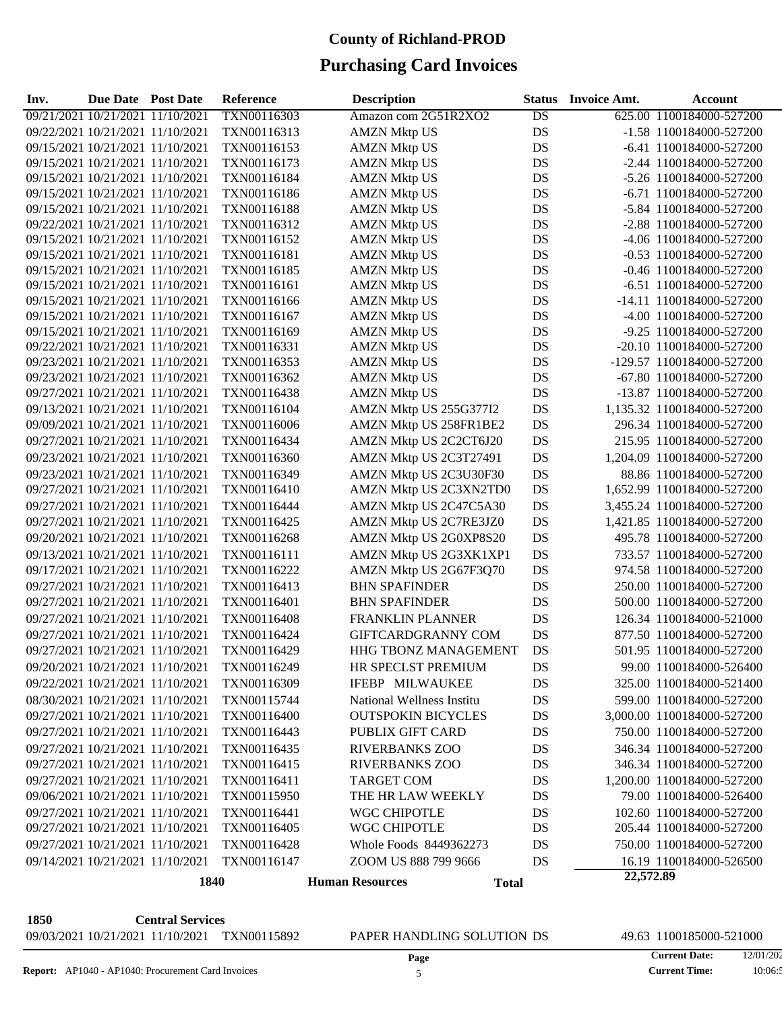### **Purchasing Card Invoices**

| Inv.                             | Due Date Post Date |                                  | <b>Reference</b>   | <b>Description</b>                     | <b>Status</b> | <b>Invoice Amt.</b> | <b>Account</b>             |
|----------------------------------|--------------------|----------------------------------|--------------------|----------------------------------------|---------------|---------------------|----------------------------|
| 09/21/2021 10/21/2021 11/10/2021 |                    |                                  | TXN00116303        | Amazon com 2G51R2XO2                   | DS            |                     | 625.00 1100184000-527200   |
|                                  |                    | 09/22/2021 10/21/2021 11/10/2021 | TXN00116313        | <b>AMZN Mktp US</b>                    | DS            |                     | -1.58 1100184000-527200    |
|                                  |                    | 09/15/2021 10/21/2021 11/10/2021 | TXN00116153        | <b>AMZN Mktp US</b>                    | DS            |                     | -6.41 1100184000-527200    |
|                                  |                    | 09/15/2021 10/21/2021 11/10/2021 | TXN00116173        | <b>AMZN Mktp US</b>                    | DS            |                     | -2.44 1100184000-527200    |
|                                  |                    | 09/15/2021 10/21/2021 11/10/2021 | TXN00116184        | <b>AMZN Mktp US</b>                    | DS            |                     | -5.26 1100184000-527200    |
|                                  |                    | 09/15/2021 10/21/2021 11/10/2021 | TXN00116186        | <b>AMZN Mktp US</b>                    | DS            |                     | -6.71 1100184000-527200    |
|                                  |                    | 09/15/2021 10/21/2021 11/10/2021 | TXN00116188        | <b>AMZN Mktp US</b>                    | DS            |                     | -5.84 1100184000-527200    |
|                                  |                    | 09/22/2021 10/21/2021 11/10/2021 | TXN00116312        | <b>AMZN Mktp US</b>                    | DS            |                     | -2.88 1100184000-527200    |
|                                  |                    | 09/15/2021 10/21/2021 11/10/2021 | TXN00116152        | <b>AMZN Mktp US</b>                    | DS            |                     | -4.06 1100184000-527200    |
|                                  |                    | 09/15/2021 10/21/2021 11/10/2021 | TXN00116181        | <b>AMZN Mktp US</b>                    | DS            |                     | -0.53 1100184000-527200    |
|                                  |                    | 09/15/2021 10/21/2021 11/10/2021 | TXN00116185        | <b>AMZN Mktp US</b>                    | DS            |                     | -0.46 1100184000-527200    |
|                                  |                    | 09/15/2021 10/21/2021 11/10/2021 | TXN00116161        | <b>AMZN Mktp US</b>                    | DS            |                     | -6.51 1100184000-527200    |
|                                  |                    | 09/15/2021 10/21/2021 11/10/2021 | TXN00116166        | <b>AMZN Mktp US</b>                    | DS            |                     | -14.11 1100184000-527200   |
|                                  |                    | 09/15/2021 10/21/2021 11/10/2021 | TXN00116167        | <b>AMZN Mktp US</b>                    | DS            |                     | -4.00 1100184000-527200    |
|                                  |                    | 09/15/2021 10/21/2021 11/10/2021 | TXN00116169        | <b>AMZN Mktp US</b>                    | DS            |                     | -9.25 1100184000-527200    |
|                                  |                    | 09/22/2021 10/21/2021 11/10/2021 | TXN00116331        | <b>AMZN Mktp US</b>                    | DS            |                     | -20.10 1100184000-527200   |
|                                  |                    | 09/23/2021 10/21/2021 11/10/2021 | TXN00116353        | <b>AMZN Mktp US</b>                    | DS            |                     | -129.57 1100184000-527200  |
|                                  |                    | 09/23/2021 10/21/2021 11/10/2021 | TXN00116362        | <b>AMZN Mktp US</b>                    | DS            |                     | -67.80 1100184000-527200   |
|                                  |                    | 09/27/2021 10/21/2021 11/10/2021 | TXN00116438        | <b>AMZN Mktp US</b>                    | DS            |                     | -13.87 1100184000-527200   |
|                                  |                    | 09/13/2021 10/21/2021 11/10/2021 | TXN00116104        | AMZN Mktp US 255G377I2                 | DS            |                     | 1,135.32 1100184000-527200 |
|                                  |                    | 09/09/2021 10/21/2021 11/10/2021 | TXN00116006        | AMZN Mktp US 258FR1BE2                 | DS            |                     | 296.34 1100184000-527200   |
|                                  |                    | 09/27/2021 10/21/2021 11/10/2021 | TXN00116434        | AMZN Mktp US 2C2CT6J20                 | DS            |                     | 215.95 1100184000-527200   |
|                                  |                    | 09/23/2021 10/21/2021 11/10/2021 | TXN00116360        | AMZN Mktp US 2C3T27491                 | DS            |                     | 1,204.09 1100184000-527200 |
|                                  |                    | 09/23/2021 10/21/2021 11/10/2021 | TXN00116349        | AMZN Mktp US 2C3U30F30                 | DS            |                     | 88.86 1100184000-527200    |
|                                  |                    | 09/27/2021 10/21/2021 11/10/2021 | TXN00116410        | AMZN Mktp US 2C3XN2TD0                 | DS            |                     | 1,652.99 1100184000-527200 |
|                                  |                    | 09/27/2021 10/21/2021 11/10/2021 | TXN00116444        | AMZN Mktp US 2C47C5A30                 | DS            |                     | 3,455.24 1100184000-527200 |
|                                  |                    | 09/27/2021 10/21/2021 11/10/2021 | TXN00116425        | AMZN Mktp US 2C7RE3JZ0                 | DS            |                     | 1,421.85 1100184000-527200 |
|                                  |                    | 09/20/2021 10/21/2021 11/10/2021 | TXN00116268        | AMZN Mktp US 2G0XP8S20                 | DS            |                     | 495.78 1100184000-527200   |
|                                  |                    | 09/13/2021 10/21/2021 11/10/2021 | TXN00116111        | AMZN Mktp US 2G3XK1XP1                 | DS            |                     | 733.57 1100184000-527200   |
|                                  |                    | 09/17/2021 10/21/2021 11/10/2021 | TXN00116222        | AMZN Mktp US 2G67F3Q70                 | DS            |                     | 974.58 1100184000-527200   |
|                                  |                    | 09/27/2021 10/21/2021 11/10/2021 | TXN00116413        | <b>BHN SPAFINDER</b>                   | DS            |                     | 250.00 1100184000-527200   |
|                                  |                    | 09/27/2021 10/21/2021 11/10/2021 | TXN00116401        | <b>BHN SPAFINDER</b>                   | DS            |                     | 500.00 1100184000-527200   |
|                                  |                    | 09/27/2021 10/21/2021 11/10/2021 | <b>TXN00116408</b> | <b>FRANKLIN PLANNER</b>                | DS            |                     | 126.34 1100184000-521000   |
|                                  |                    | 09/27/2021 10/21/2021 11/10/2021 | TXN00116424        | GIFTCARDGRANNY COM                     | DS            |                     | 877.50 1100184000-527200   |
|                                  |                    | 09/27/2021 10/21/2021 11/10/2021 | TXN00116429        | <b>HHG TBONZ MANAGEMENT</b>            | DS            |                     | 501.95 1100184000-527200   |
|                                  |                    | 09/20/2021 10/21/2021 11/10/2021 | TXN00116249        | HR SPECLST PREMIUM                     | DS            |                     | 99.00 1100184000-526400    |
|                                  |                    | 09/22/2021 10/21/2021 11/10/2021 | TXN00116309        | <b>IFEBP MILWAUKEE</b>                 | DS            |                     | 325.00 1100184000-521400   |
|                                  |                    | 08/30/2021 10/21/2021 11/10/2021 | TXN00115744        | National Wellness Institu              | DS            |                     | 599.00 1100184000-527200   |
|                                  |                    | 09/27/2021 10/21/2021 11/10/2021 | TXN00116400        | <b>OUTSPOKIN BICYCLES</b>              | DS            |                     | 3,000.00 1100184000-527200 |
|                                  |                    | 09/27/2021 10/21/2021 11/10/2021 | TXN00116443        | PUBLIX GIFT CARD                       | DS            |                     | 750.00 1100184000-527200   |
|                                  |                    | 09/27/2021 10/21/2021 11/10/2021 | TXN00116435        | <b>RIVERBANKS ZOO</b>                  | DS            |                     | 346.34 1100184000-527200   |
|                                  |                    | 09/27/2021 10/21/2021 11/10/2021 | TXN00116415        | <b>RIVERBANKS ZOO</b>                  |               |                     | 346.34 1100184000-527200   |
|                                  |                    | 09/27/2021 10/21/2021 11/10/2021 |                    |                                        | DS            |                     |                            |
|                                  |                    |                                  | TXN00116411        | <b>TARGET COM</b><br>THE HR LAW WEEKLY | DS            |                     | 1,200.00 1100184000-527200 |
|                                  |                    | 09/06/2021 10/21/2021 11/10/2021 | TXN00115950        |                                        | DS            |                     | 79.00 1100184000-526400    |
|                                  |                    | 09/27/2021 10/21/2021 11/10/2021 | TXN00116441        | WGC CHIPOTLE                           | DS            |                     | 102.60 1100184000-527200   |
|                                  |                    | 09/27/2021 10/21/2021 11/10/2021 | TXN00116405        | WGC CHIPOTLE                           | DS            |                     | 205.44 1100184000-527200   |
|                                  |                    | 09/27/2021 10/21/2021 11/10/2021 | TXN00116428        | Whole Foods 8449362273                 | DS            |                     | 750.00 1100184000-527200   |
|                                  |                    | 09/14/2021 10/21/2021 11/10/2021 | TXN00116147        | ZOOM US 888 799 9666                   | DS            |                     | 16.19 1100184000-526500    |
|                                  |                    | 1840                             |                    | <b>Human Resources</b><br><b>Total</b> |               | 22,572.89           |                            |

**1850 Central Services** 09/03/2021 10/21/2021 11/10/2021 TXN00115892 PAPER HANDLING SOLUTION DS 49.63 1100185000-521000

**Current Date: Current Time:** 12/01/2021 10:06:5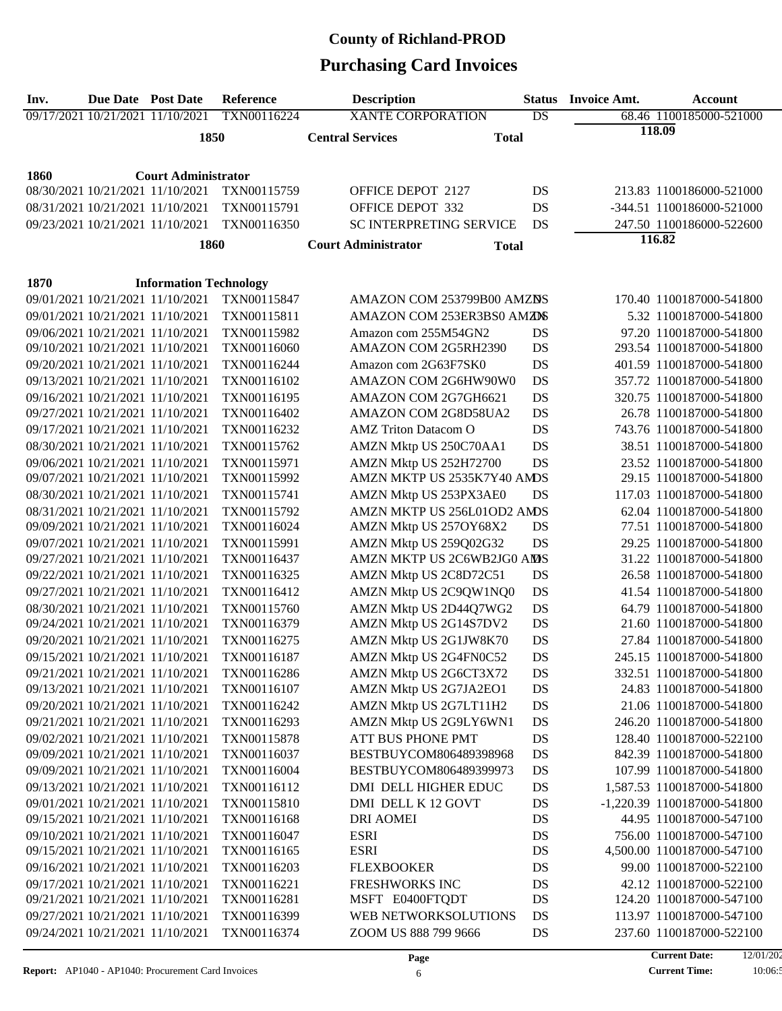| Inv. | <b>Due Date</b> Post Date |                                                                      | Reference   | <b>Description</b>                         | <b>Status</b> | <b>Invoice Amt.</b> | <b>Account</b>              |  |  |  |
|------|---------------------------|----------------------------------------------------------------------|-------------|--------------------------------------------|---------------|---------------------|-----------------------------|--|--|--|
|      |                           | 09/17/2021 10/21/2021 11/10/2021                                     | TXN00116224 | <b>XANTE CORPORATION</b>                   | DS            |                     | 68.46 1100185000-521000     |  |  |  |
|      |                           | 1850                                                                 |             | <b>Central Services</b><br><b>Total</b>    |               | 118.09              |                             |  |  |  |
|      |                           |                                                                      |             |                                            |               |                     |                             |  |  |  |
| 1860 |                           | <b>Court Administrator</b>                                           |             |                                            |               |                     |                             |  |  |  |
|      |                           | 08/30/2021 10/21/2021 11/10/2021                                     | TXN00115759 | <b>OFFICE DEPOT 2127</b>                   | DS            |                     | 213.83 1100186000-521000    |  |  |  |
|      |                           | 08/31/2021 10/21/2021 11/10/2021                                     | TXN00115791 | OFFICE DEPOT 332                           | DS            |                     | -344.51 1100186000-521000   |  |  |  |
|      |                           | 09/23/2021 10/21/2021 11/10/2021                                     | TXN00116350 | SC INTERPRETING SERVICE                    | DS            |                     | 247.50 1100186000-522600    |  |  |  |
|      |                           | 1860                                                                 |             | <b>Court Administrator</b><br><b>Total</b> |               |                     | 116.82                      |  |  |  |
|      |                           |                                                                      |             |                                            |               |                     |                             |  |  |  |
| 1870 |                           | <b>Information Technology</b>                                        |             |                                            |               |                     |                             |  |  |  |
|      |                           | 09/01/2021 10/21/2021 11/10/2021                                     | TXN00115847 | AMAZON COM 253799B00 AMZNS                 |               |                     | 170.40 1100187000-541800    |  |  |  |
|      |                           | 09/01/2021 10/21/2021 11/10/2021                                     | TXN00115811 | AMAZON COM 253ER3BS0 AMZDS                 |               |                     | 5.32 1100187000-541800      |  |  |  |
|      |                           | 09/06/2021 10/21/2021 11/10/2021                                     | TXN00115982 | Amazon com 255M54GN2                       | DS            |                     | 97.20 1100187000-541800     |  |  |  |
|      |                           | 09/10/2021 10/21/2021 11/10/2021                                     | TXN00116060 | AMAZON COM 2G5RH2390                       | DS            |                     | 293.54 1100187000-541800    |  |  |  |
|      |                           | 09/20/2021 10/21/2021 11/10/2021                                     | TXN00116244 | Amazon com 2G63F7SK0                       | DS            |                     | 401.59 1100187000-541800    |  |  |  |
|      |                           | 09/13/2021 10/21/2021 11/10/2021                                     | TXN00116102 | AMAZON COM 2G6HW90W0                       | DS            |                     | 357.72 1100187000-541800    |  |  |  |
|      |                           | 09/16/2021 10/21/2021 11/10/2021                                     | TXN00116195 | AMAZON COM 2G7GH6621                       | DS            |                     | 320.75 1100187000-541800    |  |  |  |
|      |                           | 09/27/2021 10/21/2021 11/10/2021                                     | TXN00116402 | AMAZON COM 2G8D58UA2                       | DS            |                     | 26.78 1100187000-541800     |  |  |  |
|      |                           | 09/17/2021 10/21/2021 11/10/2021                                     | TXN00116232 | <b>AMZ</b> Triton Datacom O                | DS            |                     | 743.76 1100187000-541800    |  |  |  |
|      |                           | 08/30/2021 10/21/2021 11/10/2021                                     | TXN00115762 | AMZN Mktp US 250C70AA1                     | DS            |                     | 38.51 1100187000-541800     |  |  |  |
|      |                           | 09/06/2021 10/21/2021 11/10/2021                                     | TXN00115971 | AMZN Mktp US 252H72700                     | DS            |                     | 23.52 1100187000-541800     |  |  |  |
|      |                           | 09/07/2021 10/21/2021 11/10/2021                                     | TXN00115992 | AMZN MKTP US 2535K7Y40 AMDS                |               |                     | 29.15 1100187000-541800     |  |  |  |
|      |                           | 08/30/2021 10/21/2021 11/10/2021                                     | TXN00115741 | AMZN Mktp US 253PX3AE0                     | DS            |                     | 117.03 1100187000-541800    |  |  |  |
|      |                           | 08/31/2021 10/21/2021 11/10/2021                                     | TXN00115792 | AMZN MKTP US 256L01OD2 AMDS                |               |                     | 62.04 1100187000-541800     |  |  |  |
|      |                           | 09/09/2021 10/21/2021 11/10/2021                                     | TXN00116024 | AMZN Mktp US 257OY68X2                     | DS            |                     | 77.51 1100187000-541800     |  |  |  |
|      |                           | 09/07/2021 10/21/2021 11/10/2021                                     | TXN00115991 | AMZN Mktp US 259Q02G32                     | DS            |                     | 29.25 1100187000-541800     |  |  |  |
|      |                           | 09/27/2021 10/21/2021 11/10/2021                                     | TXN00116437 | AMZN MKTP US 2C6WB2JG0 AMS                 |               |                     | 31.22 1100187000-541800     |  |  |  |
|      |                           | 09/22/2021 10/21/2021 11/10/2021                                     | TXN00116325 | AMZN Mktp US 2C8D72C51                     | DS            |                     | 26.58 1100187000-541800     |  |  |  |
|      |                           | 09/27/2021 10/21/2021 11/10/2021                                     | TXN00116412 | AMZN Mktp US 2C9QW1NQ0                     | DS            |                     | 41.54 1100187000-541800     |  |  |  |
|      |                           | 08/30/2021 10/21/2021 11/10/2021                                     | TXN00115760 | AMZN Mktp US 2D44Q7WG2                     | DS            |                     | 64.79 1100187000-541800     |  |  |  |
|      |                           | 09/24/2021 10/21/2021 11/10/2021                                     | TXN00116379 | AMZN Mktp US 2G14S7DV2                     | DS            |                     | 21.60 1100187000-541800     |  |  |  |
|      |                           | 09/20/2021 10/21/2021 11/10/2021                                     | TXN00116275 | AMZN Mktp US 2G1JW8K70                     | DS            |                     | 27.84 1100187000-541800     |  |  |  |
|      |                           | 09/15/2021 10/21/2021 11/10/2021                                     | TXN00116187 | AMZN Mktp US 2G4FN0C52                     | DS            |                     | 245.15 1100187000-541800    |  |  |  |
|      |                           | 09/21/2021 10/21/2021 11/10/2021                                     | TXN00116286 | AMZN Mktp US 2G6CT3X72                     | DS            |                     | 332.51 1100187000-541800    |  |  |  |
|      |                           | 09/13/2021 10/21/2021 11/10/2021                                     | TXN00116107 | AMZN Mktp US 2G7JA2EO1                     | DS            |                     | 24.83 1100187000-541800     |  |  |  |
|      |                           | 09/20/2021 10/21/2021 11/10/2021                                     | TXN00116242 | AMZN Mktp US 2G7LT11H2                     | DS            |                     | 21.06 1100187000-541800     |  |  |  |
|      |                           | 09/21/2021 10/21/2021 11/10/2021                                     | TXN00116293 | AMZN Mktp US 2G9LY6WN1                     | DS            |                     | 246.20 1100187000-541800    |  |  |  |
|      |                           | 09/02/2021 10/21/2021 11/10/2021                                     | TXN00115878 | ATT BUS PHONE PMT                          | DS            |                     | 128.40 1100187000-522100    |  |  |  |
|      |                           | 09/09/2021 10/21/2021 11/10/2021                                     | TXN00116037 | BESTBUYCOM806489398968                     | DS            |                     | 842.39 1100187000-541800    |  |  |  |
|      |                           | 09/09/2021 10/21/2021 11/10/2021                                     | TXN00116004 | BESTBUYCOM806489399973                     | DS            |                     | 107.99 1100187000-541800    |  |  |  |
|      |                           | 09/13/2021 10/21/2021 11/10/2021                                     | TXN00116112 | DMI DELL HIGHER EDUC                       | DS            |                     | 1,587.53 1100187000-541800  |  |  |  |
|      |                           | 09/01/2021 10/21/2021 11/10/2021                                     | TXN00115810 | DMI DELL K 12 GOVT                         | DS            |                     | -1,220.39 1100187000-541800 |  |  |  |
|      |                           | 09/15/2021 10/21/2021 11/10/2021                                     | TXN00116168 | <b>DRI AOMEI</b>                           | DS            |                     | 44.95 1100187000-547100     |  |  |  |
|      |                           | 09/10/2021 10/21/2021 11/10/2021                                     | TXN00116047 | <b>ESRI</b>                                | DS            |                     | 756.00 1100187000-547100    |  |  |  |
|      |                           | 09/15/2021 10/21/2021 11/10/2021                                     | TXN00116165 | <b>ESRI</b>                                | DS            |                     | 4,500.00 1100187000-547100  |  |  |  |
|      |                           | 09/16/2021 10/21/2021 11/10/2021                                     | TXN00116203 | <b>FLEXBOOKER</b>                          | DS            |                     | 99.00 1100187000-522100     |  |  |  |
|      |                           | 09/17/2021 10/21/2021 11/10/2021                                     | TXN00116221 | <b>FRESHWORKS INC</b>                      | DS            |                     | 42.12 1100187000-522100     |  |  |  |
|      |                           | 09/21/2021 10/21/2021 11/10/2021                                     | TXN00116281 | MSFT E0400FTQDT                            | DS            |                     | 124.20 1100187000-547100    |  |  |  |
|      |                           | 09/27/2021 10/21/2021 11/10/2021<br>09/24/2021 10/21/2021 11/10/2021 | TXN00116399 | WEB NETWORKSOLUTIONS                       | DS            |                     | 113.97 1100187000-547100    |  |  |  |
|      |                           |                                                                      | TXN00116374 | ZOOM US 888 799 9666                       | DS            |                     | 237.60 1100187000-522100    |  |  |  |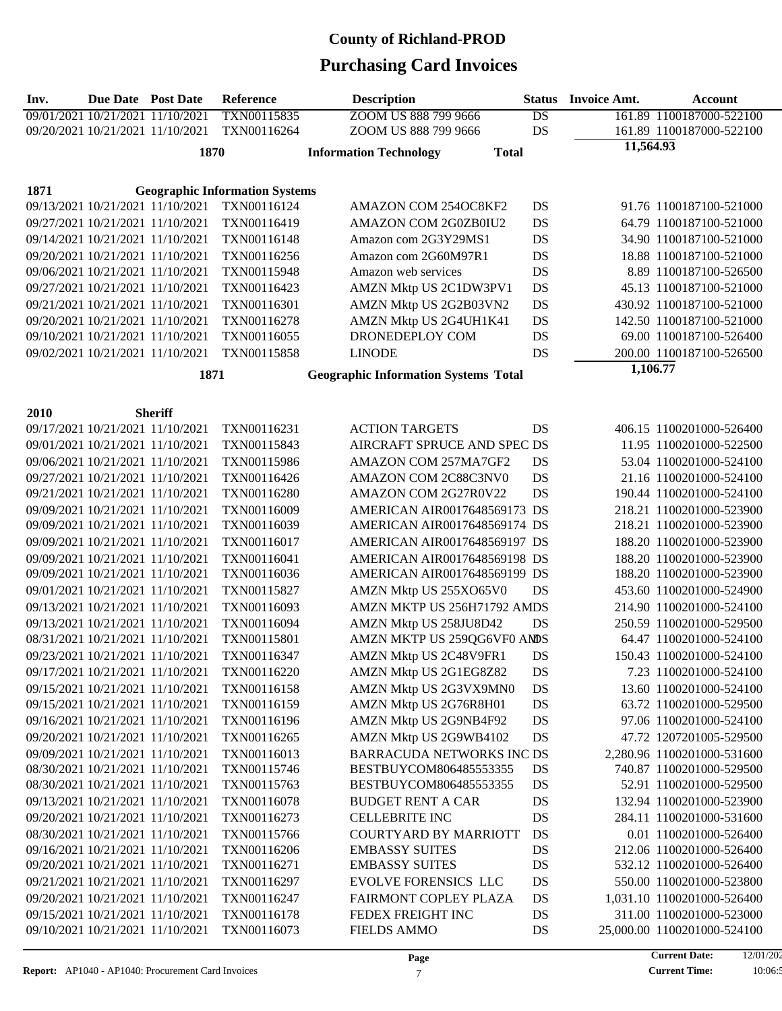| Inv. | Due Date Post Date               |                                  | Reference                                            | <b>Description</b>                            | <b>Status</b> | <b>Invoice Amt.</b> | <b>Account</b>                                    |
|------|----------------------------------|----------------------------------|------------------------------------------------------|-----------------------------------------------|---------------|---------------------|---------------------------------------------------|
|      | 09/01/2021 10/21/2021 11/10/2021 |                                  | TXN00115835                                          | ZOOM US 888 799 9666                          | DS            |                     | 161.89 1100187000-522100                          |
|      | 09/20/2021 10/21/2021 11/10/2021 |                                  | TXN00116264                                          | ZOOM US 888 799 9666                          | DS            |                     | 161.89 1100187000-522100                          |
|      |                                  | 1870                             |                                                      | <b>Information Technology</b><br><b>Total</b> |               | 11,564.93           |                                                   |
|      |                                  |                                  |                                                      |                                               |               |                     |                                                   |
|      |                                  |                                  |                                                      |                                               |               |                     |                                                   |
| 1871 | 09/13/2021 10/21/2021 11/10/2021 |                                  | <b>Geographic Information Systems</b><br>TXN00116124 | AMAZON COM 254OC8KF2                          | DS            |                     | 91.76 1100187100-521000                           |
|      |                                  |                                  |                                                      | AMAZON COM 2G0ZB0IU2                          |               |                     |                                                   |
|      |                                  | 09/27/2021 10/21/2021 11/10/2021 | TXN00116419                                          |                                               | DS            |                     | 64.79 1100187100-521000                           |
|      | 09/14/2021 10/21/2021 11/10/2021 |                                  | TXN00116148                                          | Amazon com 2G3Y29MS1                          | DS            |                     | 34.90 1100187100-521000                           |
|      | 09/20/2021 10/21/2021 11/10/2021 |                                  | TXN00116256<br>TXN00115948                           | Amazon com 2G60M97R1<br>Amazon web services   | DS            |                     | 18.88 1100187100-521000<br>8.89 1100187100-526500 |
|      | 09/06/2021 10/21/2021 11/10/2021 |                                  |                                                      |                                               | DS            |                     |                                                   |
|      | 09/27/2021 10/21/2021 11/10/2021 |                                  | TXN00116423                                          | AMZN Mktp US 2C1DW3PV1                        | DS            |                     | 45.13 1100187100-521000                           |
|      | 09/21/2021 10/21/2021 11/10/2021 |                                  | TXN00116301                                          | AMZN Mktp US 2G2B03VN2                        | DS            |                     | 430.92 1100187100-521000                          |
|      | 09/20/2021 10/21/2021 11/10/2021 |                                  | TXN00116278                                          | AMZN Mktp US 2G4UH1K41                        | DS            |                     | 142.50 1100187100-521000                          |
|      | 09/10/2021 10/21/2021 11/10/2021 |                                  | TXN00116055                                          | DRONEDEPLOY COM                               | DS            |                     | 69.00 1100187100-526400                           |
|      | 09/02/2021 10/21/2021 11/10/2021 |                                  | TXN00115858                                          | <b>LINODE</b>                                 | DS            | 1,106.77            | 200.00 1100187100-526500                          |
|      |                                  | 1871                             |                                                      | <b>Geographic Information Systems Total</b>   |               |                     |                                                   |
|      |                                  |                                  |                                                      |                                               |               |                     |                                                   |
| 2010 |                                  | <b>Sheriff</b>                   |                                                      |                                               |               |                     |                                                   |
|      | 09/17/2021 10/21/2021 11/10/2021 |                                  | TXN00116231                                          | <b>ACTION TARGETS</b>                         | DS            |                     | 406.15 1100201000-526400                          |
|      | 09/01/2021 10/21/2021 11/10/2021 |                                  | TXN00115843                                          | AIRCRAFT SPRUCE AND SPEC DS                   |               |                     | 11.95 1100201000-522500                           |
|      | 09/06/2021 10/21/2021 11/10/2021 |                                  | TXN00115986                                          | AMAZON COM 257MA7GF2                          | DS            |                     | 53.04 1100201000-524100                           |
|      | 09/27/2021 10/21/2021 11/10/2021 |                                  | TXN00116426                                          | AMAZON COM 2C88C3NV0                          | DS            |                     | 21.16 1100201000-524100                           |
|      | 09/21/2021 10/21/2021 11/10/2021 |                                  | TXN00116280                                          | AMAZON COM 2G27R0V22                          | DS            |                     | 190.44 1100201000-524100                          |
|      | 09/09/2021 10/21/2021 11/10/2021 |                                  | TXN00116009                                          | AMERICAN AIR0017648569173 DS                  |               |                     | 218.21 1100201000-523900                          |
|      | 09/09/2021 10/21/2021 11/10/2021 |                                  | TXN00116039                                          | AMERICAN AIR0017648569174 DS                  |               |                     | 218.21 1100201000-523900                          |
|      | 09/09/2021 10/21/2021 11/10/2021 |                                  | TXN00116017                                          | AMERICAN AIR0017648569197 DS                  |               |                     | 188.20 1100201000-523900                          |
|      |                                  | 09/09/2021 10/21/2021 11/10/2021 | TXN00116041                                          | AMERICAN AIR0017648569198 DS                  |               |                     | 188.20 1100201000-523900                          |
|      | 09/09/2021 10/21/2021 11/10/2021 |                                  | TXN00116036                                          | AMERICAN AIR0017648569199 DS                  |               |                     | 188.20 1100201000-523900                          |
|      | 09/01/2021 10/21/2021 11/10/2021 |                                  | TXN00115827                                          | AMZN Mktp US 255XO65V0                        | DS            |                     | 453.60 1100201000-524900                          |
|      | 09/13/2021 10/21/2021 11/10/2021 |                                  | TXN00116093                                          | AMZN MKTP US 256H71792 AMDS                   |               |                     | 214.90 1100201000-524100                          |
|      | 09/13/2021 10/21/2021 11/10/2021 |                                  | TXN00116094                                          | AMZN Mktp US 258JU8D42                        | DS            |                     | 250.59 1100201000-529500                          |
|      | 08/31/2021 10/21/2021 11/10/2021 |                                  | TXN00115801                                          | AMZN MKTP US 259QG6VF0 ANDS                   |               |                     | 64.47 1100201000-524100                           |
|      | 09/23/2021 10/21/2021 11/10/2021 |                                  | TXN00116347                                          | AMZN Mktp US 2C48V9FR1                        | DS            |                     | 150.43 1100201000-524100                          |
|      | 09/17/2021 10/21/2021 11/10/2021 |                                  | TXN00116220                                          | AMZN Mktp US 2G1EG8Z82                        | DS            |                     | 7.23 1100201000-524100                            |
|      | 09/15/2021 10/21/2021 11/10/2021 |                                  | TXN00116158                                          | AMZN Mktp US 2G3VX9MN0                        | DS            |                     | 13.60 1100201000-524100                           |
|      |                                  | 09/15/2021 10/21/2021 11/10/2021 | TXN00116159                                          | AMZN Mktp US 2G76R8H01                        | DS            |                     | 63.72 1100201000-529500                           |
|      |                                  | 09/16/2021 10/21/2021 11/10/2021 | TXN00116196                                          | AMZN Mktp US 2G9NB4F92                        | DS            |                     | 97.06 1100201000-524100                           |
|      | 09/20/2021 10/21/2021 11/10/2021 |                                  | TXN00116265                                          | AMZN Mktp US 2G9WB4102                        | DS            |                     | 47.72 1207201005-529500                           |
|      | 09/09/2021 10/21/2021 11/10/2021 |                                  | TXN00116013                                          | <b>BARRACUDA NETWORKS INC DS</b>              |               |                     | 2,280.96 1100201000-531600                        |
|      | 08/30/2021 10/21/2021 11/10/2021 |                                  | TXN00115746                                          | BESTBUYCOM806485553355                        | DS            |                     | 740.87 1100201000-529500                          |
|      | 08/30/2021 10/21/2021 11/10/2021 |                                  | TXN00115763                                          | BESTBUYCOM806485553355                        | DS            |                     | 52.91 1100201000-529500                           |
|      | 09/13/2021 10/21/2021 11/10/2021 |                                  | TXN00116078                                          | <b>BUDGET RENT A CAR</b>                      | DS            |                     | 132.94 1100201000-523900                          |
|      | 09/20/2021 10/21/2021 11/10/2021 |                                  | TXN00116273                                          | <b>CELLEBRITE INC</b>                         | DS            |                     | 284.11 1100201000-531600                          |
|      | 08/30/2021 10/21/2021 11/10/2021 |                                  | TXN00115766                                          | <b>COURTYARD BY MARRIOTT</b>                  | DS            |                     | 0.01 1100201000-526400                            |
|      |                                  | 09/16/2021 10/21/2021 11/10/2021 | TXN00116206                                          | <b>EMBASSY SUITES</b>                         | DS            |                     | 212.06 1100201000-526400                          |
|      |                                  | 09/20/2021 10/21/2021 11/10/2021 | TXN00116271                                          | <b>EMBASSY SUITES</b>                         | DS            |                     | 532.12 1100201000-526400                          |
|      |                                  | 09/21/2021 10/21/2021 11/10/2021 | TXN00116297                                          | <b>EVOLVE FORENSICS LLC</b>                   | DS            |                     | 550.00 1100201000-523800                          |
|      | 09/20/2021 10/21/2021 11/10/2021 |                                  | TXN00116247                                          | FAIRMONT COPLEY PLAZA                         | DS            |                     | 1,031.10 1100201000-526400                        |
|      | 09/15/2021 10/21/2021 11/10/2021 |                                  | TXN00116178                                          | FEDEX FREIGHT INC                             | DS            |                     | 311.00 1100201000-523000                          |
|      | 09/10/2021 10/21/2021 11/10/2021 |                                  | TXN00116073                                          | <b>FIELDS AMMO</b>                            | DS            |                     | 25,000.00 1100201000-524100                       |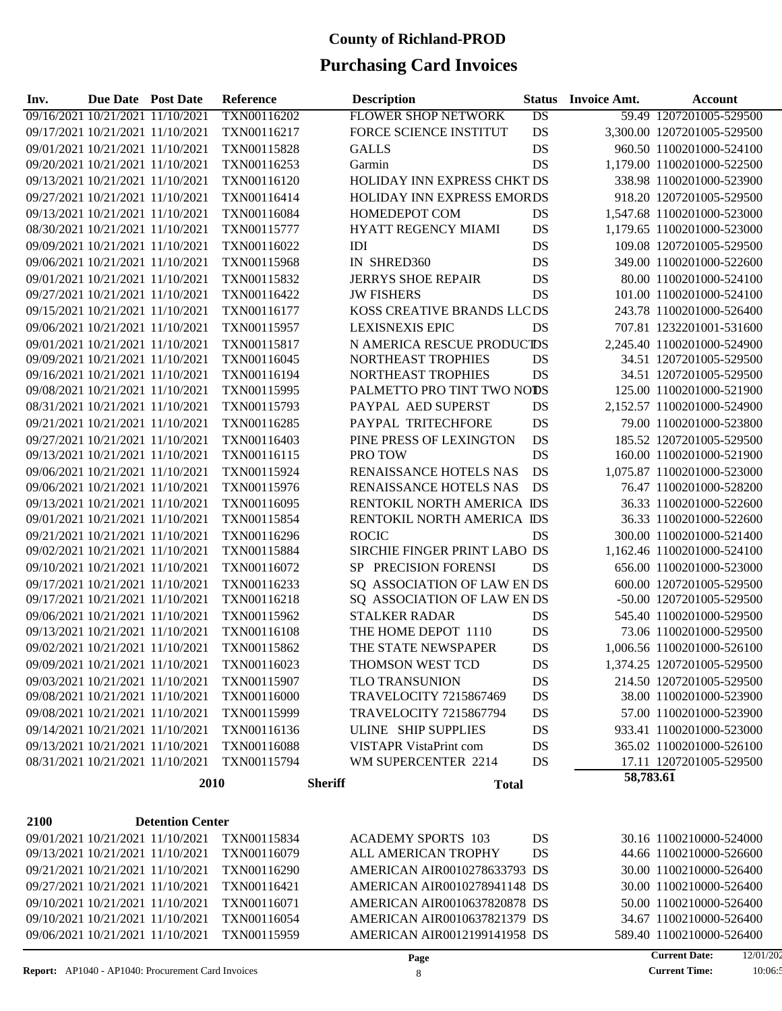| Inv.                             | Due Date Post Date |                                  | <b>Reference</b>           |                | <b>Description</b>            |                 | <b>Status</b> Invoice Amt. | Account                          |
|----------------------------------|--------------------|----------------------------------|----------------------------|----------------|-------------------------------|-----------------|----------------------------|----------------------------------|
| 09/16/2021 10/21/2021 11/10/2021 |                    |                                  | TXN00116202                |                | <b>FLOWER SHOP NETWORK</b>    | $\overline{DS}$ |                            | 59.49 1207201005-529500          |
| 09/17/2021 10/21/2021 11/10/2021 |                    |                                  | TXN00116217                |                | FORCE SCIENCE INSTITUT        | <b>DS</b>       |                            | 3,300.00 1207201005-529500       |
|                                  |                    | 09/01/2021 10/21/2021 11/10/2021 | TXN00115828                |                | <b>GALLS</b>                  | DS              |                            | 960.50 1100201000-524100         |
| 09/20/2021 10/21/2021 11/10/2021 |                    |                                  | TXN00116253                |                | Garmin                        | DS              |                            | 1,179.00 1100201000-522500       |
| 09/13/2021 10/21/2021 11/10/2021 |                    |                                  | TXN00116120                |                | HOLIDAY INN EXPRESS CHKT DS   |                 |                            | 338.98 1100201000-523900         |
| 09/27/2021 10/21/2021 11/10/2021 |                    |                                  | TXN00116414                |                | HOLIDAY INN EXPRESS EMORDS    |                 |                            | 918.20 1207201005-529500         |
| 09/13/2021 10/21/2021 11/10/2021 |                    |                                  | TXN00116084                |                | HOMEDEPOT COM                 | DS              |                            | 1,547.68 1100201000-523000       |
| 08/30/2021 10/21/2021 11/10/2021 |                    |                                  | TXN00115777                |                | HYATT REGENCY MIAMI           | DS              |                            | 1,179.65 1100201000-523000       |
| 09/09/2021 10/21/2021 11/10/2021 |                    |                                  | TXN00116022                |                | <b>IDI</b>                    | DS              |                            | 109.08 1207201005-529500         |
| 09/06/2021 10/21/2021 11/10/2021 |                    |                                  | TXN00115968                |                | IN SHRED360                   | DS              |                            | 349.00 1100201000-522600         |
|                                  |                    | 09/01/2021 10/21/2021 11/10/2021 | TXN00115832                |                | <b>JERRYS SHOE REPAIR</b>     | DS              |                            | 80.00 1100201000-524100          |
|                                  |                    | 09/27/2021 10/21/2021 11/10/2021 | TXN00116422                |                | <b>JW FISHERS</b>             | DS              |                            | 101.00 1100201000-524100         |
| 09/15/2021 10/21/2021 11/10/2021 |                    |                                  | TXN00116177                |                | KOSS CREATIVE BRANDS LLCDS    |                 |                            | 243.78 1100201000-526400         |
| 09/06/2021 10/21/2021 11/10/2021 |                    |                                  | TXN00115957                |                | <b>LEXISNEXIS EPIC</b>        | DS              |                            | 707.81 1232201001-531600         |
| 09/01/2021 10/21/2021 11/10/2021 |                    |                                  | TXN00115817                |                | N AMERICA RESCUE PRODUCTDS    |                 |                            | 2,245.40 1100201000-524900       |
| 09/09/2021 10/21/2021 11/10/2021 |                    |                                  | TXN00116045                |                | NORTHEAST TROPHIES            | DS              |                            | 34.51 1207201005-529500          |
| 09/16/2021 10/21/2021 11/10/2021 |                    |                                  | TXN00116194                |                | NORTHEAST TROPHIES            | DS              |                            | 34.51 1207201005-529500          |
| 09/08/2021 10/21/2021 11/10/2021 |                    |                                  | TXN00115995                |                | PALMETTO PRO TINT TWO NODS    |                 |                            | 125.00 1100201000-521900         |
| 08/31/2021 10/21/2021 11/10/2021 |                    |                                  | TXN00115793                |                | PAYPAL AED SUPERST            | DS              |                            | 2,152.57 1100201000-524900       |
| 09/21/2021 10/21/2021 11/10/2021 |                    |                                  | TXN00116285                |                | PAYPAL TRITECHFORE            | DS              |                            | 79.00 1100201000-523800          |
|                                  |                    | 09/27/2021 10/21/2021 11/10/2021 | TXN00116403                |                | PINE PRESS OF LEXINGTON       | DS              |                            | 185.52 1207201005-529500         |
| 09/13/2021 10/21/2021 11/10/2021 |                    |                                  | TXN00116115                |                | PRO TOW                       | DS              |                            | 160.00 1100201000-521900         |
| 09/06/2021 10/21/2021 11/10/2021 |                    |                                  | TXN00115924                |                | RENAISSANCE HOTELS NAS        | DS              |                            | 1,075.87 1100201000-523000       |
| 09/06/2021 10/21/2021 11/10/2021 |                    |                                  | TXN00115976                |                | RENAISSANCE HOTELS NAS        | DS              |                            | 76.47 1100201000-528200          |
| 09/13/2021 10/21/2021 11/10/2021 |                    |                                  | TXN00116095                |                | RENTOKIL NORTH AMERICA IDS    |                 |                            | 36.33 1100201000-522600          |
| 09/01/2021 10/21/2021 11/10/2021 |                    |                                  | TXN00115854                |                | RENTOKIL NORTH AMERICA IDS    |                 |                            | 36.33 1100201000-522600          |
| 09/21/2021 10/21/2021 11/10/2021 |                    |                                  | TXN00116296                |                | <b>ROCIC</b>                  | DS              |                            | 300.00 1100201000-521400         |
| 09/02/2021 10/21/2021 11/10/2021 |                    |                                  | TXN00115884                |                | SIRCHIE FINGER PRINT LABO DS  |                 |                            | 1,162.46 1100201000-524100       |
| 09/10/2021 10/21/2021 11/10/2021 |                    |                                  | TXN00116072                |                | SP PRECISION FORENSI          | DS              |                            | 656.00 1100201000-523000         |
| 09/17/2021 10/21/2021 11/10/2021 |                    |                                  | TXN00116233                |                | SQ ASSOCIATION OF LAW EN DS   |                 |                            | 600.00 1207201005-529500         |
| 09/17/2021 10/21/2021 11/10/2021 |                    |                                  | TXN00116218                |                | SQ ASSOCIATION OF LAW EN DS   |                 |                            | -50.00 1207201005-529500         |
|                                  |                    | 09/06/2021 10/21/2021 11/10/2021 | TXN00115962                |                | <b>STALKER RADAR</b>          | DS              |                            | 545.40 1100201000-529500         |
|                                  |                    | 09/13/2021 10/21/2021 11/10/2021 | TXN00116108                |                | THE HOME DEPOT 1110           | DS              |                            | 73.06 1100201000-529500          |
| 09/02/2021 10/21/2021 11/10/2021 |                    |                                  | TXN00115862                |                | THE STATE NEWSPAPER           | DS              |                            | 1,006.56 1100201000-526100       |
|                                  |                    | 09/09/2021 10/21/2021 11/10/2021 | TXN00116023                |                | THOMSON WEST TCD              | DS              |                            | 1,374.25 1207201005-529500       |
|                                  |                    | 09/03/2021 10/21/2021 11/10/2021 | TXN00115907                |                | <b>TLO TRANSUNION</b>         | DS              |                            | 214.50 1207201005-529500         |
|                                  |                    | 09/08/2021 10/21/2021 11/10/2021 | TXN00116000                |                | <b>TRAVELOCITY 7215867469</b> | DS              |                            | 38.00 1100201000-523900          |
|                                  |                    | 09/08/2021 10/21/2021 11/10/2021 | TXN00115999                |                | <b>TRAVELOCITY 7215867794</b> | DS              |                            | 57.00 1100201000-523900          |
|                                  |                    | 09/14/2021 10/21/2021 11/10/2021 | TXN00116136                |                | ULINE SHIP SUPPLIES           | DS              |                            | 933.41 1100201000-523000         |
|                                  |                    |                                  |                            |                | <b>VISTAPR VistaPrint com</b> |                 |                            |                                  |
|                                  |                    | 09/13/2021 10/21/2021 11/10/2021 | TXN00116088<br>TXN00115794 |                | WM SUPERCENTER 2214           | DS<br>DS        |                            | 365.02 1100201000-526100         |
|                                  |                    | 08/31/2021 10/21/2021 11/10/2021 |                            |                |                               |                 | 58,783.61                  | 17.11 1207201005-529500          |
|                                  |                    | 2010                             |                            | <b>Sheriff</b> | <b>Total</b>                  |                 |                            |                                  |
|                                  |                    |                                  |                            |                |                               |                 |                            |                                  |
| 2100                             |                    | <b>Detention Center</b>          |                            |                |                               |                 |                            |                                  |
|                                  |                    | 09/01/2021 10/21/2021 11/10/2021 | TXN00115834                |                | <b>ACADEMY SPORTS 103</b>     | DS              |                            | 30.16 1100210000-524000          |
|                                  |                    | 09/13/2021 10/21/2021 11/10/2021 | TXN00116079                |                | ALL AMERICAN TROPHY           | DS              |                            | 44.66 1100210000-526600          |
|                                  |                    | 09/21/2021 10/21/2021 11/10/2021 | TXN00116290                |                | AMERICAN AIR0010278633793 DS  |                 |                            | 30.00 1100210000-526400          |
|                                  |                    | 09/27/2021 10/21/2021 11/10/2021 | TXN00116421                |                | AMERICAN AIR0010278941148 DS  |                 |                            | 30.00 1100210000-526400          |
|                                  |                    | 09/10/2021 10/21/2021 11/10/2021 | TXN00116071                |                | AMERICAN AIR0010637820878 DS  |                 |                            | 50.00 1100210000-526400          |
|                                  |                    | 09/10/2021 10/21/2021 11/10/2021 | TXN00116054                |                | AMERICAN AIR0010637821379 DS  |                 |                            | 34.67 1100210000-526400          |
|                                  |                    | 09/06/2021 10/21/2021 11/10/2021 | TXN00115959                |                | AMERICAN AIR0012199141958 DS  |                 |                            | 589.40 1100210000-526400         |
|                                  |                    |                                  |                            |                | Page                          |                 |                            | <b>Current Date:</b><br>12/01/20 |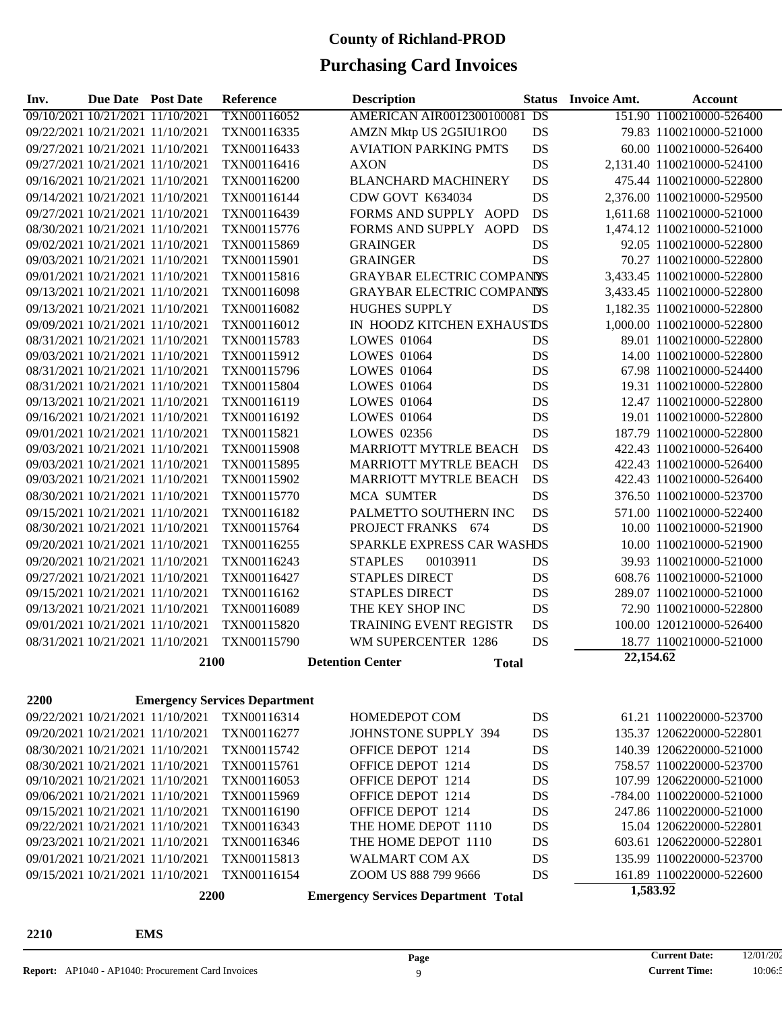| Inv.                             | Due Date Post Date |                                            | <b>Reference</b>                     | <b>Description</b>                  |              | <b>Status</b> | <b>Invoice Amt.</b> | <b>Account</b>             |
|----------------------------------|--------------------|--------------------------------------------|--------------------------------------|-------------------------------------|--------------|---------------|---------------------|----------------------------|
| 09/10/2021 10/21/2021 11/10/2021 |                    |                                            | TXN00116052                          | <b>AMERICAN AIR0012300100081 DS</b> |              |               |                     | 151.90 1100210000-526400   |
| 09/22/2021 10/21/2021 11/10/2021 |                    |                                            | TXN00116335                          | AMZN Mktp US 2G5IU1RO0              |              | DS            |                     | 79.83 1100210000-521000    |
| 09/27/2021 10/21/2021 11/10/2021 |                    |                                            | TXN00116433                          | <b>AVIATION PARKING PMTS</b>        |              | DS            |                     | 60.00 1100210000-526400    |
| 09/27/2021 10/21/2021 11/10/2021 |                    |                                            | TXN00116416                          | <b>AXON</b>                         |              | DS            |                     | 2,131.40 1100210000-524100 |
| 09/16/2021 10/21/2021 11/10/2021 |                    |                                            | TXN00116200                          | <b>BLANCHARD MACHINERY</b>          |              | DS            |                     | 475.44 1100210000-522800   |
| 09/14/2021 10/21/2021 11/10/2021 |                    |                                            | TXN00116144                          | CDW GOVT K634034                    |              | DS            |                     | 2,376.00 1100210000-529500 |
| 09/27/2021 10/21/2021 11/10/2021 |                    |                                            | TXN00116439                          | FORMS AND SUPPLY AOPD               |              | DS            |                     | 1,611.68 1100210000-521000 |
| 08/30/2021 10/21/2021 11/10/2021 |                    |                                            | TXN00115776                          | FORMS AND SUPPLY AOPD               |              | DS            |                     | 1,474.12 1100210000-521000 |
| 09/02/2021 10/21/2021 11/10/2021 |                    |                                            | TXN00115869                          | <b>GRAINGER</b>                     |              | DS            |                     | 92.05 1100210000-522800    |
| 09/03/2021 10/21/2021 11/10/2021 |                    |                                            | TXN00115901                          | <b>GRAINGER</b>                     |              | DS            |                     | 70.27 1100210000-522800    |
| 09/01/2021 10/21/2021 11/10/2021 |                    |                                            | TXN00115816                          | <b>GRAYBAR ELECTRIC COMPANDS</b>    |              |               |                     | 3,433.45 1100210000-522800 |
| 09/13/2021 10/21/2021 11/10/2021 |                    |                                            | TXN00116098                          | <b>GRAYBAR ELECTRIC COMPANDS</b>    |              |               |                     | 3,433.45 1100210000-522800 |
| 09/13/2021 10/21/2021 11/10/2021 |                    |                                            | TXN00116082                          | <b>HUGHES SUPPLY</b>                |              | DS            |                     | 1,182.35 1100210000-522800 |
| 09/09/2021 10/21/2021 11/10/2021 |                    |                                            | TXN00116012                          | IN HOODZ KITCHEN EXHAUSTDS          |              |               |                     | 1,000.00 1100210000-522800 |
| 08/31/2021 10/21/2021 11/10/2021 |                    |                                            | TXN00115783                          | <b>LOWES 01064</b>                  |              | DS            |                     | 89.01 1100210000-522800    |
|                                  |                    | 09/03/2021 10/21/2021 11/10/2021           | TXN00115912                          | <b>LOWES 01064</b>                  |              | <b>DS</b>     |                     | 14.00 1100210000-522800    |
| 08/31/2021 10/21/2021 11/10/2021 |                    |                                            | TXN00115796                          | <b>LOWES 01064</b>                  |              | DS            |                     | 67.98 1100210000-524400    |
| 08/31/2021 10/21/2021 11/10/2021 |                    |                                            | TXN00115804                          | <b>LOWES 01064</b>                  |              | DS            |                     | 19.31 1100210000-522800    |
| 09/13/2021 10/21/2021 11/10/2021 |                    |                                            | TXN00116119                          | <b>LOWES 01064</b>                  |              | DS            |                     | 12.47 1100210000-522800    |
| 09/16/2021 10/21/2021 11/10/2021 |                    |                                            | TXN00116192                          | <b>LOWES 01064</b>                  |              | DS            |                     | 19.01 1100210000-522800    |
| 09/01/2021 10/21/2021 11/10/2021 |                    |                                            | TXN00115821                          | <b>LOWES 02356</b>                  |              | DS            |                     | 187.79 1100210000-522800   |
| 09/03/2021 10/21/2021 11/10/2021 |                    |                                            | TXN00115908                          | <b>MARRIOTT MYTRLE BEACH</b>        |              | DS            |                     | 422.43 1100210000-526400   |
| 09/03/2021 10/21/2021 11/10/2021 |                    |                                            | TXN00115895                          | <b>MARRIOTT MYTRLE BEACH</b>        |              | DS            |                     | 422.43 1100210000-526400   |
| 09/03/2021 10/21/2021 11/10/2021 |                    |                                            | TXN00115902                          | MARRIOTT MYTRLE BEACH               |              | DS            |                     | 422.43 1100210000-526400   |
| 08/30/2021 10/21/2021 11/10/2021 |                    |                                            | TXN00115770                          | <b>MCA SUMTER</b>                   |              | DS            |                     | 376.50 1100210000-523700   |
| 09/15/2021 10/21/2021 11/10/2021 |                    |                                            | TXN00116182                          | PALMETTO SOUTHERN INC               |              | DS            |                     | 571.00 1100210000-522400   |
| 08/30/2021 10/21/2021 11/10/2021 |                    |                                            | TXN00115764                          | PROJECT FRANKS 674                  |              | DS            |                     | 10.00 1100210000-521900    |
| 09/20/2021 10/21/2021 11/10/2021 |                    |                                            | TXN00116255                          | SPARKLE EXPRESS CAR WASHDS          |              |               |                     | 10.00 1100210000-521900    |
| 09/20/2021 10/21/2021 11/10/2021 |                    |                                            | TXN00116243                          | <b>STAPLES</b><br>00103911          |              | DS            |                     | 39.93 1100210000-521000    |
| 09/27/2021 10/21/2021 11/10/2021 |                    |                                            | TXN00116427                          | <b>STAPLES DIRECT</b>               |              | DS            |                     | 608.76 1100210000-521000   |
| 09/15/2021 10/21/2021 11/10/2021 |                    |                                            | TXN00116162                          | <b>STAPLES DIRECT</b>               |              | DS            |                     | 289.07 1100210000-521000   |
| 09/13/2021 10/21/2021 11/10/2021 |                    |                                            | TXN00116089                          | THE KEY SHOP INC                    |              | DS            |                     | 72.90 1100210000-522800    |
| 09/01/2021 10/21/2021 11/10/2021 |                    |                                            | TXN00115820                          | <b>TRAINING EVENT REGISTR</b>       |              | DS            |                     | 100.00 1201210000-526400   |
| 08/31/2021 10/21/2021 11/10/2021 |                    |                                            | TXN00115790                          | WM SUPERCENTER 1286                 |              | <b>DS</b>     |                     | 18.77 1100210000-521000    |
|                                  |                    | 2100                                       |                                      | <b>Detention Center</b>             | <b>Total</b> |               | 22,154.62           |                            |
|                                  |                    |                                            |                                      |                                     |              |               |                     |                            |
| 2200                             |                    |                                            | <b>Emergency Services Department</b> |                                     |              |               |                     |                            |
|                                  |                    | 09/22/2021 10/21/2021 11/10/2021           | TXN00116314                          | HOMEDEPOT COM                       |              | DS            |                     | 61.21 1100220000-523700    |
| 09/20/2021 10/21/2021 11/10/2021 |                    |                                            | TXN00116277                          | JOHNSTONE SUPPLY 394                |              | DS            |                     | 135.37 1206220000-522801   |
| 08/30/2021 10/21/2021 11/10/2021 |                    |                                            | TXN00115742                          | OFFICE DEPOT 1214                   |              | DS            |                     | 140.39 1206220000-521000   |
|                                  |                    | 08/30/2021 10/21/2021 11/10/2021           | TXN00115761                          | OFFICE DEPOT 1214                   |              | DS            |                     | 758.57 1100220000-523700   |
|                                  |                    | 09/10/2021 10/21/2021 11/10/2021           | TXN00116053                          | OFFICE DEPOT 1214                   |              | DS            |                     | 107.99 1206220000-521000   |
|                                  |                    | 09/06/2021 10/21/2021 11/10/2021           | TXN00115969                          | OFFICE DEPOT 1214                   |              | DS            |                     | -784.00 1100220000-521000  |
|                                  |                    | 09/15/2021 10/21/2021 11/10/2021           | TXN00116190                          | OFFICE DEPOT 1214                   |              | DS            |                     | 247.86 1100220000-521000   |
|                                  |                    | 09/22/2021 10/21/2021 11/10/2021           | TXN00116343                          | THE HOME DEPOT 1110                 |              | DS            |                     | 15.04 1206220000-522801    |
|                                  |                    | 09/23/2021 10/21/2021 11/10/2021           | TXN00116346                          | THE HOME DEPOT 1110                 |              | DS            |                     | 603.61 1206220000-522801   |
|                                  |                    | 09/01/2021 10/21/2021 11/10/2021           | TXN00115813                          | <b>WALMART COM AX</b>               |              | DS            |                     | 135.99 1100220000-523700   |
|                                  |                    | 09/15/2021 10/21/2021 11/10/2021           | TXN00116154                          | ZOOM US 888 799 9666                |              | DS            |                     | 161.89 1100220000-522600   |
| 2200                             |                    | <b>Emergency Services Department Total</b> |                                      |                                     | 1,583.92     |               |                     |                            |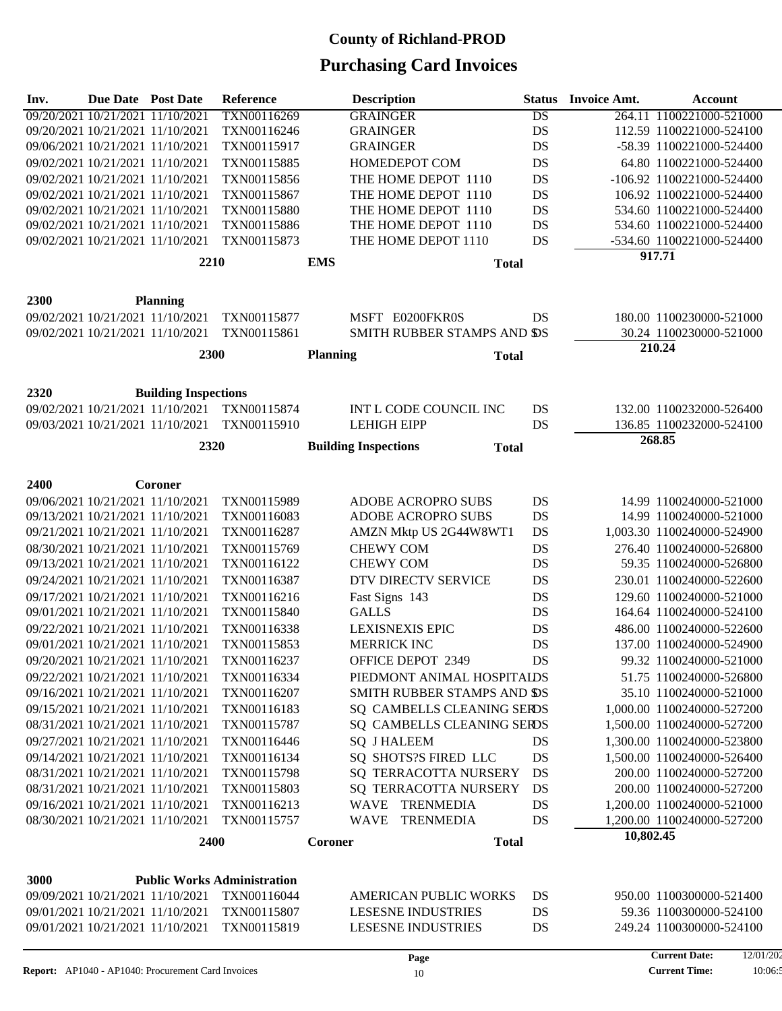| Inv. | <b>Due Date Post Date</b>        |                                  | Reference                          |                 | <b>Description</b>                          | <b>Status</b>   | <b>Invoice Amt.</b> | <b>Account</b>             |
|------|----------------------------------|----------------------------------|------------------------------------|-----------------|---------------------------------------------|-----------------|---------------------|----------------------------|
|      | 09/20/2021 10/21/2021 11/10/2021 |                                  | TXN00116269                        |                 | <b>GRAINGER</b>                             | $\overline{DS}$ |                     | 264.11 1100221000-521000   |
|      | 09/20/2021 10/21/2021 11/10/2021 |                                  | TXN00116246                        |                 | <b>GRAINGER</b>                             | <b>DS</b>       |                     | 112.59 1100221000-524100   |
|      | 09/06/2021 10/21/2021 11/10/2021 |                                  | TXN00115917                        |                 | <b>GRAINGER</b>                             | DS              |                     | -58.39 1100221000-524400   |
|      | 09/02/2021 10/21/2021 11/10/2021 |                                  | TXN00115885                        |                 | HOMEDEPOT COM                               | <b>DS</b>       |                     | 64.80 1100221000-524400    |
|      | 09/02/2021 10/21/2021 11/10/2021 |                                  | TXN00115856                        |                 | THE HOME DEPOT 1110                         | DS              |                     | -106.92 1100221000-524400  |
|      | 09/02/2021 10/21/2021 11/10/2021 |                                  | TXN00115867                        |                 | THE HOME DEPOT 1110                         | DS              |                     | 106.92 1100221000-524400   |
|      | 09/02/2021 10/21/2021 11/10/2021 |                                  | TXN00115880                        |                 | THE HOME DEPOT 1110                         | DS              |                     | 534.60 1100221000-524400   |
|      | 09/02/2021 10/21/2021 11/10/2021 |                                  | TXN00115886                        |                 | THE HOME DEPOT 1110                         | DS              |                     | 534.60 1100221000-524400   |
|      | 09/02/2021 10/21/2021 11/10/2021 |                                  | TXN00115873                        |                 | THE HOME DEPOT 1110                         | DS              |                     | -534.60 1100221000-524400  |
|      |                                  | 2210                             |                                    | <b>EMS</b>      | <b>Total</b>                                |                 |                     | 917.71                     |
|      |                                  |                                  |                                    |                 |                                             |                 |                     |                            |
| 2300 |                                  | <b>Planning</b>                  |                                    |                 |                                             |                 |                     |                            |
|      | 09/02/2021 10/21/2021 11/10/2021 |                                  | TXN00115877                        |                 | MSFT E0200FKR0S                             | DS              |                     | 180.00 1100230000-521000   |
|      |                                  | 09/02/2021 10/21/2021 11/10/2021 | TXN00115861                        |                 | SMITH RUBBER STAMPS AND SDS                 |                 |                     | 30.24 1100230000-521000    |
|      |                                  |                                  |                                    |                 |                                             |                 |                     | 210.24                     |
|      |                                  | 2300                             |                                    | <b>Planning</b> | <b>Total</b>                                |                 |                     |                            |
|      |                                  |                                  |                                    |                 |                                             |                 |                     |                            |
| 2320 |                                  | <b>Building Inspections</b>      |                                    |                 |                                             |                 |                     |                            |
|      |                                  | 09/02/2021 10/21/2021 11/10/2021 | TXN00115874                        |                 | INT L CODE COUNCIL INC                      | DS              |                     | 132.00 1100232000-526400   |
|      |                                  | 09/03/2021 10/21/2021 11/10/2021 | TXN00115910                        |                 | <b>LEHIGH EIPP</b>                          | DS              |                     | 136.85 1100232000-524100   |
|      |                                  | 2320                             |                                    |                 | <b>Building Inspections</b><br><b>Total</b> |                 |                     | 268.85                     |
|      |                                  |                                  |                                    |                 |                                             |                 |                     |                            |
| 2400 |                                  | Coroner                          |                                    |                 |                                             |                 |                     |                            |
|      | 09/06/2021 10/21/2021 11/10/2021 |                                  | TXN00115989                        |                 | ADOBE ACROPRO SUBS                          | DS              |                     | 14.99 1100240000-521000    |
|      | 09/13/2021 10/21/2021 11/10/2021 |                                  | TXN00116083                        |                 | ADOBE ACROPRO SUBS                          | DS              |                     | 14.99 1100240000-521000    |
|      | 09/21/2021 10/21/2021 11/10/2021 |                                  | TXN00116287                        |                 | AMZN Mktp US 2G44W8WT1                      | DS              |                     | 1,003.30 1100240000-524900 |
|      | 08/30/2021 10/21/2021 11/10/2021 |                                  | TXN00115769                        |                 | <b>CHEWY COM</b>                            | DS              |                     | 276.40 1100240000-526800   |
|      | 09/13/2021 10/21/2021 11/10/2021 |                                  | TXN00116122                        |                 | <b>CHEWY COM</b>                            | DS              |                     | 59.35 1100240000-526800    |
|      | 09/24/2021 10/21/2021 11/10/2021 |                                  | TXN00116387                        |                 | DTV DIRECTV SERVICE                         | DS              |                     | 230.01 1100240000-522600   |
|      | 09/17/2021 10/21/2021 11/10/2021 |                                  | TXN00116216                        |                 | Fast Signs 143                              | DS              |                     | 129.60 1100240000-521000   |
|      | 09/01/2021 10/21/2021 11/10/2021 |                                  | TXN00115840                        |                 | <b>GALLS</b>                                | DS              |                     | 164.64 1100240000-524100   |
|      | 09/22/2021 10/21/2021 11/10/2021 |                                  | TXN00116338                        |                 | <b>LEXISNEXIS EPIC</b>                      | DS              |                     | 486.00 1100240000-522600   |
|      | 09/01/2021 10/21/2021 11/10/2021 |                                  | TXN00115853                        |                 | <b>MERRICK INC</b>                          | DS              |                     | 137.00 1100240000-524900   |
|      | 09/20/2021 10/21/2021 11/10/2021 |                                  | TXN00116237                        |                 | OFFICE DEPOT 2349                           | DS              |                     | 99.32 1100240000-521000    |
|      | 09/22/2021 10/21/2021 11/10/2021 |                                  | TXN00116334                        |                 | PIEDMONT ANIMAL HOSPITAIDS                  |                 |                     | 51.75 1100240000-526800    |
|      | 09/16/2021 10/21/2021 11/10/2021 |                                  | TXN00116207                        |                 | SMITH RUBBER STAMPS AND SDS                 |                 |                     | 35.10 1100240000-521000    |
|      | 09/15/2021 10/21/2021 11/10/2021 |                                  | TXN00116183                        |                 | SQ CAMBELLS CLEANING SERDS                  |                 |                     | 1,000.00 1100240000-527200 |
|      | 08/31/2021 10/21/2021 11/10/2021 |                                  | TXN00115787                        |                 | SQ CAMBELLS CLEANING SERDS                  |                 |                     | 1,500.00 1100240000-527200 |
|      | 09/27/2021 10/21/2021 11/10/2021 |                                  | TXN00116446                        |                 | <b>SQ J HALEEM</b>                          | DS              |                     | 1,300.00 1100240000-523800 |
|      | 09/14/2021 10/21/2021 11/10/2021 |                                  | TXN00116134                        |                 | SO SHOTS?S FIRED LLC                        | DS              |                     | 1,500.00 1100240000-526400 |
|      | 08/31/2021 10/21/2021 11/10/2021 |                                  | TXN00115798                        |                 | SQ TERRACOTTA NURSERY                       | DS              |                     | 200.00 1100240000-527200   |
|      | 08/31/2021 10/21/2021 11/10/2021 |                                  | TXN00115803                        |                 | SQ TERRACOTTA NURSERY                       | DS              |                     | 200.00 1100240000-527200   |
|      | 09/16/2021 10/21/2021 11/10/2021 |                                  | TXN00116213                        |                 | WAVE TRENMEDIA                              | DS              |                     | 1,200.00 1100240000-521000 |
|      | 08/30/2021 10/21/2021 11/10/2021 |                                  | TXN00115757                        |                 | <b>WAVE</b><br><b>TRENMEDIA</b>             | DS              |                     | 1,200.00 1100240000-527200 |
|      |                                  | 2400                             |                                    | Coroner         | <b>Total</b>                                |                 | 10,802.45           |                            |
|      |                                  |                                  |                                    |                 |                                             |                 |                     |                            |
| 3000 |                                  |                                  | <b>Public Works Administration</b> |                 |                                             |                 |                     |                            |
|      |                                  | 09/09/2021 10/21/2021 11/10/2021 | TXN00116044                        |                 | <b>AMERICAN PUBLIC WORKS</b>                | DS              |                     | 950.00 1100300000-521400   |
|      | 09/01/2021 10/21/2021 11/10/2021 |                                  | TXN00115807                        |                 | <b>LESESNE INDUSTRIES</b>                   | DS              |                     | 59.36 1100300000-524100    |
|      | 09/01/2021 10/21/2021 11/10/2021 |                                  | TXN00115819                        |                 | <b>LESESNE INDUSTRIES</b>                   | DS              |                     | 249.24 1100300000-524100   |
|      |                                  |                                  |                                    |                 |                                             |                 |                     |                            |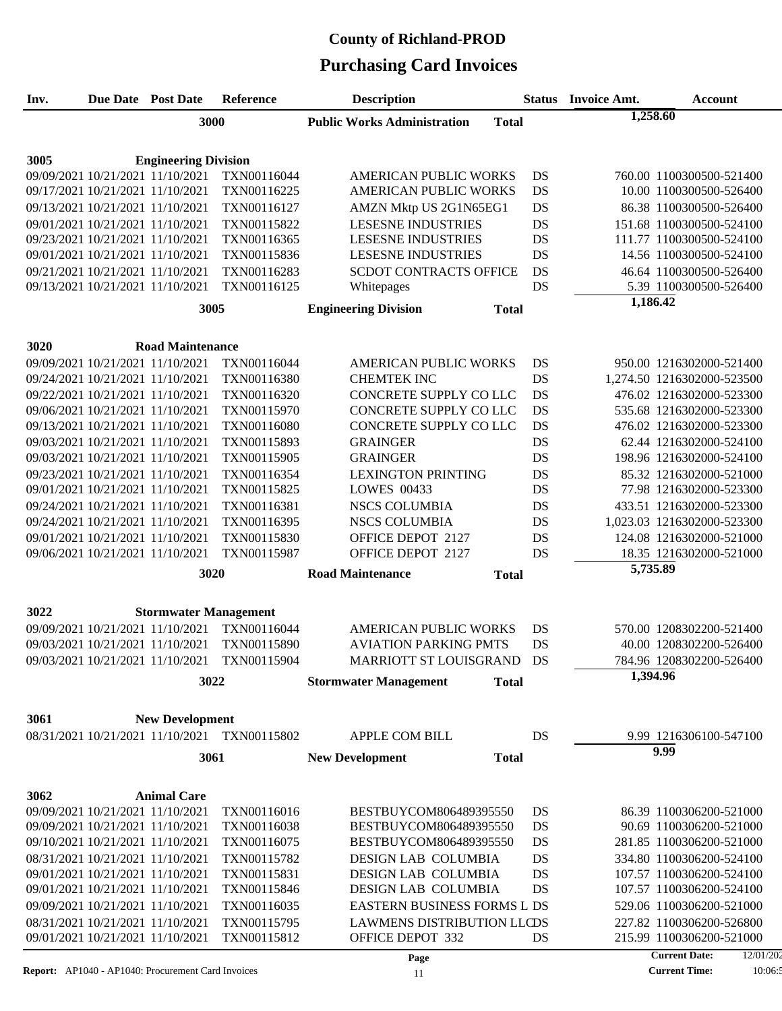### **Purchasing Card Invoices County of Richland-PROD**

| Inv. | <b>Due Date Post Date</b>                                            | <b>Reference</b>                             | <b>Description</b>                                 | <b>Status</b>          | <b>Invoice Amt.</b> | <b>Account</b>                                       |
|------|----------------------------------------------------------------------|----------------------------------------------|----------------------------------------------------|------------------------|---------------------|------------------------------------------------------|
|      | 3000                                                                 |                                              | <b>Public Works Administration</b><br><b>Total</b> |                        | 1,258.60            |                                                      |
|      |                                                                      |                                              |                                                    |                        |                     |                                                      |
| 3005 | <b>Engineering Division</b>                                          |                                              |                                                    |                        |                     |                                                      |
|      | 09/09/2021 10/21/2021 11/10/2021                                     | TXN00116044                                  | <b>AMERICAN PUBLIC WORKS</b>                       | DS                     |                     | 760.00 1100300500-521400                             |
|      | 09/17/2021 10/21/2021 11/10/2021                                     | TXN00116225                                  | <b>AMERICAN PUBLIC WORKS</b>                       | DS                     |                     | 10.00 1100300500-526400                              |
|      | 09/13/2021 10/21/2021 11/10/2021                                     | TXN00116127                                  | AMZN Mktp US 2G1N65EG1                             | DS                     |                     | 86.38 1100300500-526400                              |
|      | 09/01/2021 10/21/2021 11/10/2021                                     | TXN00115822                                  | <b>LESESNE INDUSTRIES</b>                          | DS                     |                     | 151.68 1100300500-524100                             |
|      | 09/23/2021 10/21/2021 11/10/2021                                     | TXN00116365                                  | <b>LESESNE INDUSTRIES</b>                          | DS                     |                     | 111.77 1100300500-524100                             |
|      | 09/01/2021 10/21/2021 11/10/2021                                     | TXN00115836                                  | <b>LESESNE INDUSTRIES</b>                          | DS                     |                     | 14.56 1100300500-524100                              |
|      | 09/21/2021 10/21/2021 11/10/2021                                     | TXN00116283                                  | <b>SCDOT CONTRACTS OFFICE</b>                      | DS                     |                     | 46.64 1100300500-526400                              |
|      | 09/13/2021 10/21/2021 11/10/2021                                     | TXN00116125                                  | Whitepages                                         | DS                     |                     | 5.39 1100300500-526400                               |
|      | 3005                                                                 |                                              | <b>Engineering Division</b>                        |                        | 1,186.42            |                                                      |
|      |                                                                      |                                              | <b>Total</b>                                       |                        |                     |                                                      |
|      |                                                                      |                                              |                                                    |                        |                     |                                                      |
| 3020 | <b>Road Maintenance</b>                                              |                                              |                                                    |                        |                     |                                                      |
|      | 09/09/2021 10/21/2021 11/10/2021                                     | TXN00116044                                  | <b>AMERICAN PUBLIC WORKS</b>                       | DS                     |                     | 950.00 1216302000-521400                             |
|      | 09/24/2021 10/21/2021 11/10/2021                                     | TXN00116380                                  | <b>CHEMTEK INC</b>                                 | DS                     |                     | 1,274.50 1216302000-523500                           |
|      | 09/22/2021 10/21/2021 11/10/2021                                     | TXN00116320                                  | CONCRETE SUPPLY COLLC<br>CONCRETE SUPPLY CO LLC    | <b>DS</b>              |                     | 476.02 1216302000-523300                             |
|      | 09/06/2021 10/21/2021 11/10/2021<br>09/13/2021 10/21/2021 11/10/2021 | TXN00115970<br>TXN00116080                   | CONCRETE SUPPLY CO LLC                             | <b>DS</b><br><b>DS</b> |                     | 535.68 1216302000-523300<br>476.02 1216302000-523300 |
|      | 09/03/2021 10/21/2021 11/10/2021                                     | TXN00115893                                  | <b>GRAINGER</b>                                    | <b>DS</b>              |                     | 62.44 1216302000-524100                              |
|      | 09/03/2021 10/21/2021 11/10/2021                                     | TXN00115905                                  | <b>GRAINGER</b>                                    | DS                     |                     | 198.96 1216302000-524100                             |
|      | 09/23/2021 10/21/2021 11/10/2021                                     | TXN00116354                                  | <b>LEXINGTON PRINTING</b>                          | DS                     |                     | 85.32 1216302000-521000                              |
|      | 09/01/2021 10/21/2021 11/10/2021                                     | TXN00115825                                  | <b>LOWES 00433</b>                                 | DS                     |                     | 77.98 1216302000-523300                              |
|      | 09/24/2021 10/21/2021 11/10/2021                                     | TXN00116381                                  | <b>NSCS COLUMBIA</b>                               | DS                     |                     | 433.51 1216302000-523300                             |
|      | 09/24/2021 10/21/2021 11/10/2021                                     | TXN00116395                                  | <b>NSCS COLUMBIA</b>                               | DS                     |                     | 1,023.03 1216302000-523300                           |
|      | 09/01/2021 10/21/2021 11/10/2021                                     | TXN00115830                                  | OFFICE DEPOT 2127                                  | DS                     |                     | 124.08 1216302000-521000                             |
|      | 09/06/2021 10/21/2021 11/10/2021                                     | TXN00115987                                  | OFFICE DEPOT 2127                                  | <b>DS</b>              |                     | 18.35 1216302000-521000                              |
|      | 3020                                                                 |                                              | <b>Road Maintenance</b><br><b>Total</b>            |                        | 5,735.89            |                                                      |
|      |                                                                      |                                              |                                                    |                        |                     |                                                      |
|      |                                                                      |                                              |                                                    |                        |                     |                                                      |
| 3022 | <b>Stormwater Management</b>                                         | TXN00116044                                  | <b>AMERICAN PUBLIC WORKS</b>                       |                        |                     |                                                      |
|      | 09/09/2021 10/21/2021 11/10/2021<br>09/03/2021 10/21/2021 11/10/2021 | TXN00115890                                  | <b>AVIATION PARKING PMTS</b>                       | DS<br>DS               |                     | 570.00 1208302200-521400<br>40.00 1208302200-526400  |
|      | 09/03/2021 10/21/2021 11/10/2021                                     | TXN00115904                                  | MARRIOTT ST LOUISGRAND                             | DS                     |                     | 784.96 1208302200-526400                             |
|      |                                                                      |                                              |                                                    |                        | 1,394.96            |                                                      |
|      | 3022                                                                 |                                              | <b>Stormwater Management</b><br><b>Total</b>       |                        |                     |                                                      |
|      |                                                                      |                                              |                                                    |                        |                     |                                                      |
| 3061 | <b>New Development</b>                                               |                                              |                                                    |                        |                     |                                                      |
|      |                                                                      | 08/31/2021 10/21/2021 11/10/2021 TXN00115802 | <b>APPLE COM BILL</b>                              | DS                     |                     | 9.99 1216306100-547100                               |
|      | 3061                                                                 |                                              | <b>New Development</b><br><b>Total</b>             |                        |                     | 9.99                                                 |
|      |                                                                      |                                              |                                                    |                        |                     |                                                      |
| 3062 | <b>Animal Care</b>                                                   |                                              |                                                    |                        |                     |                                                      |
|      | 09/09/2021 10/21/2021 11/10/2021                                     | TXN00116016                                  | BESTBUYCOM806489395550                             | DS                     |                     | 86.39 1100306200-521000                              |
|      | 09/09/2021 10/21/2021 11/10/2021                                     | TXN00116038                                  | BESTBUYCOM806489395550                             | DS                     |                     | 90.69 1100306200-521000                              |
|      | 09/10/2021 10/21/2021 11/10/2021                                     | TXN00116075                                  | BESTBUYCOM806489395550                             | DS                     |                     | 281.85 1100306200-521000                             |
|      | 08/31/2021 10/21/2021 11/10/2021                                     | TXN00115782                                  | DESIGN LAB COLUMBIA                                | DS                     |                     | 334.80 1100306200-524100                             |
|      | 09/01/2021 10/21/2021 11/10/2021                                     | TXN00115831                                  | DESIGN LAB COLUMBIA                                | DS                     |                     | 107.57 1100306200-524100                             |
|      | 09/01/2021 10/21/2021 11/10/2021                                     | TXN00115846                                  | DESIGN LAB COLUMBIA                                | DS                     |                     | 107.57 1100306200-524100                             |
|      | 09/09/2021 10/21/2021 11/10/2021                                     | TXN00116035                                  | EASTERN BUSINESS FORMS L DS                        |                        |                     | 529.06 1100306200-521000                             |
|      | 08/31/2021 10/21/2021 11/10/2021                                     | TXN00115795                                  | <b>LAWMENS DISTRIBUTION LLCDS</b>                  |                        |                     | 227.82 1100306200-526800                             |
|      | 09/01/2021 10/21/2021 11/10/2021                                     | TXN00115812                                  | OFFICE DEPOT 332                                   | DS                     |                     | 215.99 1100306200-521000                             |
|      |                                                                      |                                              | Page                                               |                        |                     | <b>Current Date:</b><br>12/01/20                     |

**Report:** AP1040 - AP1040: Procurement Card Invoices 11

**Current Time:**  $10:06:5$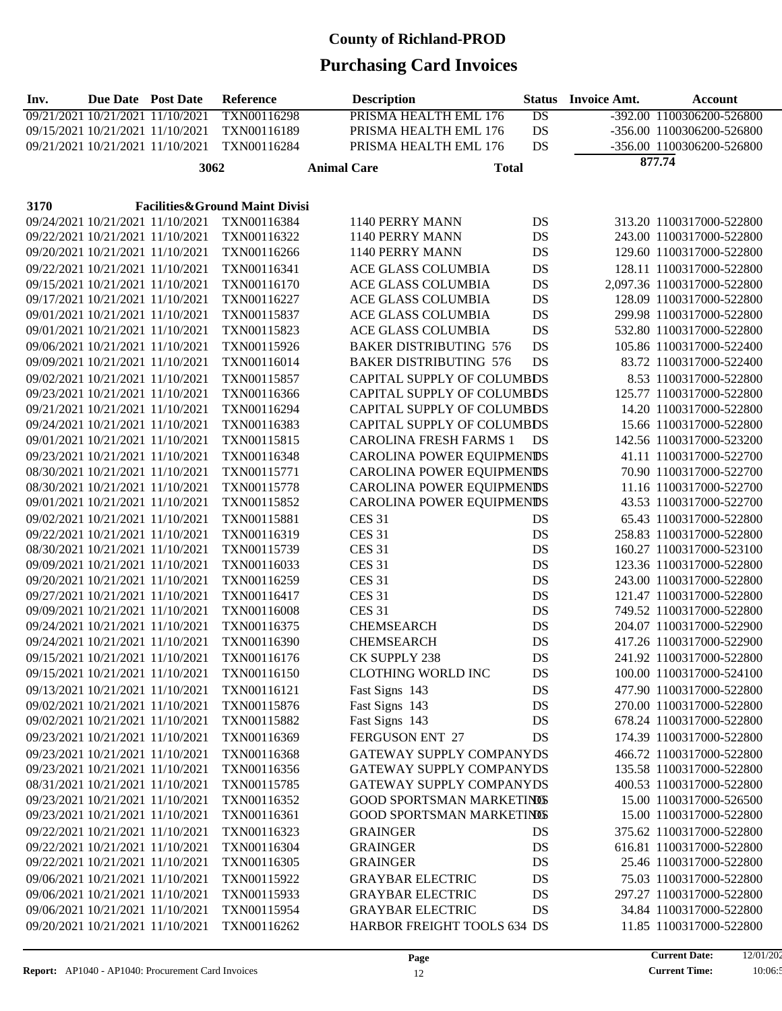| Inv. | <b>Due Date</b> Post Date |                                  | Reference                      |                    | <b>Description</b>              | <b>Status</b>   | <b>Invoice Amt.</b> | <b>Account</b>             |
|------|---------------------------|----------------------------------|--------------------------------|--------------------|---------------------------------|-----------------|---------------------|----------------------------|
|      |                           | 09/21/2021 10/21/2021 11/10/2021 | TXN00116298                    |                    | PRISMA HEALTH EML 176           | $\overline{DS}$ |                     | -392.00 1100306200-526800  |
|      |                           | 09/15/2021 10/21/2021 11/10/2021 | TXN00116189                    |                    | PRISMA HEALTH EML 176           | DS              |                     | -356.00 1100306200-526800  |
|      |                           | 09/21/2021 10/21/2021 11/10/2021 | TXN00116284                    |                    | PRISMA HEALTH EML 176           | DS              |                     | -356.00 1100306200-526800  |
|      |                           | 3062                             |                                | <b>Animal Care</b> | <b>Total</b>                    |                 |                     | 877.74                     |
|      |                           |                                  |                                |                    |                                 |                 |                     |                            |
| 3170 |                           |                                  | Facilities&Ground Maint Divisi |                    |                                 |                 |                     |                            |
|      |                           | 09/24/2021 10/21/2021 11/10/2021 | TXN00116384                    |                    | 1140 PERRY MANN                 | DS              |                     | 313.20 1100317000-522800   |
|      |                           | 09/22/2021 10/21/2021 11/10/2021 | TXN00116322                    |                    | 1140 PERRY MANN                 | DS              |                     | 243.00 1100317000-522800   |
|      |                           | 09/20/2021 10/21/2021 11/10/2021 | TXN00116266                    |                    | 1140 PERRY MANN                 | DS              |                     | 129.60 1100317000-522800   |
|      |                           |                                  |                                |                    |                                 |                 |                     |                            |
|      |                           | 09/22/2021 10/21/2021 11/10/2021 | TXN00116341                    |                    | ACE GLASS COLUMBIA              | DS              |                     | 128.11 1100317000-522800   |
|      |                           | 09/15/2021 10/21/2021 11/10/2021 | TXN00116170                    |                    | ACE GLASS COLUMBIA              | DS              |                     | 2,097.36 1100317000-522800 |
|      |                           | 09/17/2021 10/21/2021 11/10/2021 | TXN00116227                    |                    | ACE GLASS COLUMBIA              | DS              |                     | 128.09 1100317000-522800   |
|      |                           | 09/01/2021 10/21/2021 11/10/2021 | TXN00115837                    |                    | ACE GLASS COLUMBIA              | DS              |                     | 299.98 1100317000-522800   |
|      |                           | 09/01/2021 10/21/2021 11/10/2021 | TXN00115823                    |                    | ACE GLASS COLUMBIA              | DS              |                     | 532.80 1100317000-522800   |
|      |                           | 09/06/2021 10/21/2021 11/10/2021 | TXN00115926                    |                    | <b>BAKER DISTRIBUTING 576</b>   | DS              |                     | 105.86 1100317000-522400   |
|      |                           | 09/09/2021 10/21/2021 11/10/2021 | TXN00116014                    |                    | <b>BAKER DISTRIBUTING 576</b>   | DS              |                     | 83.72 1100317000-522400    |
|      |                           | 09/02/2021 10/21/2021 11/10/2021 | TXN00115857                    |                    | CAPITAL SUPPLY OF COLUMBDS      |                 |                     | 8.53 1100317000-522800     |
|      |                           | 09/23/2021 10/21/2021 11/10/2021 | TXN00116366                    |                    | CAPITAL SUPPLY OF COLUMBDS      |                 |                     | 125.77 1100317000-522800   |
|      |                           | 09/21/2021 10/21/2021 11/10/2021 | TXN00116294                    |                    | CAPITAL SUPPLY OF COLUMBDS      |                 |                     | 14.20 1100317000-522800    |
|      |                           | 09/24/2021 10/21/2021 11/10/2021 | TXN00116383                    |                    | CAPITAL SUPPLY OF COLUMBDS      |                 |                     | 15.66 1100317000-522800    |
|      |                           | 09/01/2021 10/21/2021 11/10/2021 | TXN00115815                    |                    | <b>CAROLINA FRESH FARMS 1</b>   | DS              |                     | 142.56 1100317000-523200   |
|      |                           | 09/23/2021 10/21/2021 11/10/2021 | TXN00116348                    |                    | CAROLINA POWER EQUIPMENDS       |                 |                     | 41.11 1100317000-522700    |
|      |                           | 08/30/2021 10/21/2021 11/10/2021 | TXN00115771                    |                    | CAROLINA POWER EQUIPMENIS       |                 |                     | 70.90 1100317000-522700    |
|      |                           | 08/30/2021 10/21/2021 11/10/2021 | TXN00115778                    |                    | CAROLINA POWER EQUIPMENIS       |                 |                     | 11.16 1100317000-522700    |
|      |                           | 09/01/2021 10/21/2021 11/10/2021 | TXN00115852                    |                    | CAROLINA POWER EQUIPMENIS       |                 |                     | 43.53 1100317000-522700    |
|      |                           | 09/02/2021 10/21/2021 11/10/2021 | TXN00115881                    |                    | <b>CES 31</b>                   | DS              |                     | 65.43 1100317000-522800    |
|      |                           | 09/22/2021 10/21/2021 11/10/2021 | TXN00116319                    |                    | <b>CES 31</b>                   | DS              |                     | 258.83 1100317000-522800   |
|      |                           | 08/30/2021 10/21/2021 11/10/2021 | TXN00115739                    |                    | <b>CES 31</b>                   | DS              |                     | 160.27 1100317000-523100   |
|      |                           | 09/09/2021 10/21/2021 11/10/2021 | TXN00116033                    |                    | <b>CES 31</b>                   | DS              |                     | 123.36 1100317000-522800   |
|      |                           | 09/20/2021 10/21/2021 11/10/2021 | TXN00116259                    |                    | <b>CES 31</b>                   | DS              |                     | 243.00 1100317000-522800   |
|      |                           | 09/27/2021 10/21/2021 11/10/2021 | TXN00116417                    |                    | <b>CES 31</b>                   | DS              |                     | 121.47 1100317000-522800   |
|      |                           | 09/09/2021 10/21/2021 11/10/2021 | TXN00116008                    |                    | <b>CES 31</b>                   | DS              |                     | 749.52 1100317000-522800   |
|      |                           | 09/24/2021 10/21/2021 11/10/2021 | TXN00116375                    |                    | <b>CHEMSEARCH</b>               | DS              |                     | 204.07 1100317000-522900   |
|      |                           | 09/24/2021 10/21/2021 11/10/2021 | TXN00116390                    |                    | <b>CHEMSEARCH</b>               | DS              |                     | 417.26 1100317000-522900   |
|      |                           | 09/15/2021 10/21/2021 11/10/2021 | TXN00116176                    |                    | CK SUPPLY 238                   | DS              |                     | 241.92 1100317000-522800   |
|      |                           | 09/15/2021 10/21/2021 11/10/2021 | TXN00116150                    |                    | CLOTHING WORLD INC              | DS              |                     | 100.00 1100317000-524100   |
|      |                           | 09/13/2021 10/21/2021 11/10/2021 | TXN00116121                    |                    | Fast Signs 143                  | DS              |                     | 477.90 1100317000-522800   |
|      |                           | 09/02/2021 10/21/2021 11/10/2021 | TXN00115876                    |                    | Fast Signs 143                  | DS              |                     | 270.00 1100317000-522800   |
|      |                           | 09/02/2021 10/21/2021 11/10/2021 | TXN00115882                    |                    | Fast Signs 143                  | DS              |                     | 678.24 1100317000-522800   |
|      |                           | 09/23/2021 10/21/2021 11/10/2021 | TXN00116369                    |                    | FERGUSON ENT 27                 | DS              |                     | 174.39 1100317000-522800   |
|      |                           | 09/23/2021 10/21/2021 11/10/2021 | TXN00116368                    |                    | <b>GATEWAY SUPPLY COMPANYDS</b> |                 |                     | 466.72 1100317000-522800   |
|      |                           | 09/23/2021 10/21/2021 11/10/2021 | TXN00116356                    |                    | GATEWAY SUPPLY COMPANYDS        |                 |                     | 135.58 1100317000-522800   |
|      |                           | 08/31/2021 10/21/2021 11/10/2021 | TXN00115785                    |                    | GATEWAY SUPPLY COMPANYDS        |                 |                     | 400.53 1100317000-522800   |
|      |                           | 09/23/2021 10/21/2021 11/10/2021 | TXN00116352                    |                    | GOOD SPORTSMAN MARKETINGS       |                 |                     | 15.00 1100317000-526500    |
|      |                           | 09/23/2021 10/21/2021 11/10/2021 | TXN00116361                    |                    | GOOD SPORTSMAN MARKETINGS       |                 |                     | 15.00 1100317000-522800    |
|      |                           |                                  |                                |                    |                                 |                 |                     |                            |
|      |                           | 09/22/2021 10/21/2021 11/10/2021 | TXN00116323                    |                    | <b>GRAINGER</b>                 | DS              |                     | 375.62 1100317000-522800   |
|      |                           | 09/22/2021 10/21/2021 11/10/2021 | TXN00116304                    |                    | <b>GRAINGER</b>                 | DS              |                     | 616.81 1100317000-522800   |
|      |                           | 09/22/2021 10/21/2021 11/10/2021 | TXN00116305                    |                    | <b>GRAINGER</b>                 | DS              |                     | 25.46 1100317000-522800    |
|      |                           | 09/06/2021 10/21/2021 11/10/2021 | TXN00115922                    |                    | <b>GRAYBAR ELECTRIC</b>         | DS              |                     | 75.03 1100317000-522800    |
|      |                           | 09/06/2021 10/21/2021 11/10/2021 | TXN00115933                    |                    | <b>GRAYBAR ELECTRIC</b>         | DS              |                     | 297.27 1100317000-522800   |
|      |                           | 09/06/2021 10/21/2021 11/10/2021 | TXN00115954                    |                    | <b>GRAYBAR ELECTRIC</b>         | DS              |                     | 34.84 1100317000-522800    |
|      |                           | 09/20/2021 10/21/2021 11/10/2021 | TXN00116262                    |                    | HARBOR FREIGHT TOOLS 634 DS     |                 |                     | 11.85 1100317000-522800    |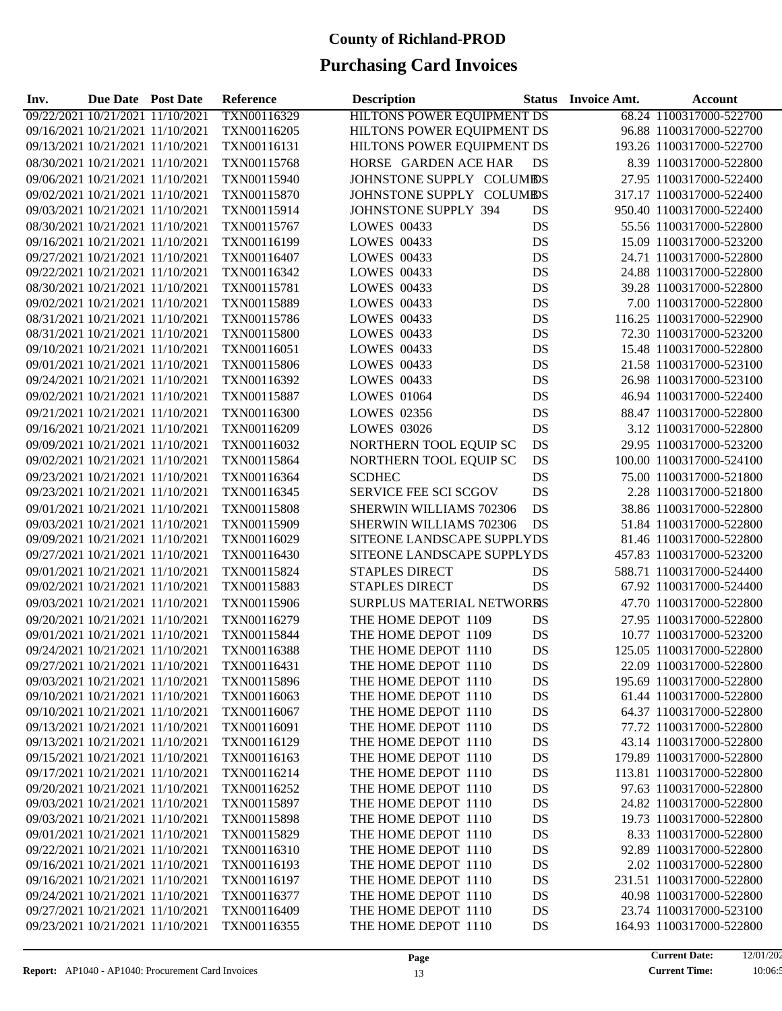| Inv.                             | <b>Due Date Post Date</b> |                                  | Reference   | <b>Description</b>                | <b>Status</b> | <b>Invoice Amt.</b> | Account                  |
|----------------------------------|---------------------------|----------------------------------|-------------|-----------------------------------|---------------|---------------------|--------------------------|
| 09/22/2021 10/21/2021 11/10/2021 |                           |                                  | TXN00116329 | <b>HILTONS POWER EQUIPMENT DS</b> |               |                     | 68.24 1100317000-522700  |
|                                  |                           | 09/16/2021 10/21/2021 11/10/2021 | TXN00116205 | HILTONS POWER EQUIPMENT DS        |               |                     | 96.88 1100317000-522700  |
|                                  |                           | 09/13/2021 10/21/2021 11/10/2021 | TXN00116131 | HILTONS POWER EQUIPMENT DS        |               |                     | 193.26 1100317000-522700 |
|                                  |                           | 08/30/2021 10/21/2021 11/10/2021 | TXN00115768 | HORSE GARDEN ACE HAR              | DS            |                     | 8.39 1100317000-522800   |
|                                  |                           | 09/06/2021 10/21/2021 11/10/2021 | TXN00115940 | JOHNSTONE SUPPLY COLUMEDS         |               |                     | 27.95 1100317000-522400  |
|                                  |                           | 09/02/2021 10/21/2021 11/10/2021 | TXN00115870 | JOHNSTONE SUPPLY COLUMEDS         |               |                     | 317.17 1100317000-522400 |
|                                  |                           | 09/03/2021 10/21/2021 11/10/2021 | TXN00115914 | JOHNSTONE SUPPLY 394              | DS            |                     | 950.40 1100317000-522400 |
|                                  |                           | 08/30/2021 10/21/2021 11/10/2021 | TXN00115767 | <b>LOWES 00433</b>                | DS            |                     | 55.56 1100317000-522800  |
|                                  |                           | 09/16/2021 10/21/2021 11/10/2021 | TXN00116199 | <b>LOWES 00433</b>                | DS            |                     | 15.09 1100317000-523200  |
|                                  |                           | 09/27/2021 10/21/2021 11/10/2021 | TXN00116407 | <b>LOWES 00433</b>                | DS            |                     | 24.71 1100317000-522800  |
|                                  |                           | 09/22/2021 10/21/2021 11/10/2021 | TXN00116342 | <b>LOWES 00433</b>                | DS            |                     | 24.88 1100317000-522800  |
|                                  |                           | 08/30/2021 10/21/2021 11/10/2021 | TXN00115781 | <b>LOWES 00433</b>                | DS            |                     | 39.28 1100317000-522800  |
|                                  |                           | 09/02/2021 10/21/2021 11/10/2021 | TXN00115889 | <b>LOWES 00433</b>                | DS            |                     | 7.00 1100317000-522800   |
|                                  |                           | 08/31/2021 10/21/2021 11/10/2021 | TXN00115786 | <b>LOWES 00433</b>                | DS            |                     | 116.25 1100317000-522900 |
|                                  |                           | 08/31/2021 10/21/2021 11/10/2021 | TXN00115800 | <b>LOWES 00433</b>                | DS            |                     | 72.30 1100317000-523200  |
|                                  |                           | 09/10/2021 10/21/2021 11/10/2021 | TXN00116051 | <b>LOWES 00433</b>                | DS            |                     | 15.48 1100317000-522800  |
|                                  |                           | 09/01/2021 10/21/2021 11/10/2021 | TXN00115806 | <b>LOWES 00433</b>                | DS            |                     | 21.58 1100317000-523100  |
|                                  |                           | 09/24/2021 10/21/2021 11/10/2021 | TXN00116392 | <b>LOWES 00433</b>                | DS            |                     | 26.98 1100317000-523100  |
|                                  |                           | 09/02/2021 10/21/2021 11/10/2021 | TXN00115887 | <b>LOWES 01064</b>                | DS            |                     | 46.94 1100317000-522400  |
|                                  |                           | 09/21/2021 10/21/2021 11/10/2021 | TXN00116300 | LOWES 02356                       | DS            |                     | 88.47 1100317000-522800  |
|                                  |                           | 09/16/2021 10/21/2021 11/10/2021 | TXN00116209 | <b>LOWES 03026</b>                | DS            |                     | 3.12 1100317000-522800   |
|                                  |                           | 09/09/2021 10/21/2021 11/10/2021 | TXN00116032 | NORTHERN TOOL EQUIP SC            | DS            |                     | 29.95 1100317000-523200  |
|                                  |                           | 09/02/2021 10/21/2021 11/10/2021 | TXN00115864 | NORTHERN TOOL EQUIP SC            | DS            |                     | 100.00 1100317000-524100 |
|                                  |                           | 09/23/2021 10/21/2021 11/10/2021 | TXN00116364 | <b>SCDHEC</b>                     | DS            |                     | 75.00 1100317000-521800  |
|                                  |                           | 09/23/2021 10/21/2021 11/10/2021 | TXN00116345 | SERVICE FEE SCI SCGOV             | DS            |                     | 2.28 1100317000-521800   |
|                                  |                           | 09/01/2021 10/21/2021 11/10/2021 | TXN00115808 | SHERWIN WILLIAMS 702306           | DS            |                     | 38.86 1100317000-522800  |
|                                  |                           | 09/03/2021 10/21/2021 11/10/2021 | TXN00115909 | SHERWIN WILLIAMS 702306           | DS            |                     | 51.84 1100317000-522800  |
|                                  |                           | 09/09/2021 10/21/2021 11/10/2021 | TXN00116029 | SITEONE LANDSCAPE SUPPLYDS        |               |                     | 81.46 1100317000-522800  |
|                                  |                           | 09/27/2021 10/21/2021 11/10/2021 | TXN00116430 | SITEONE LANDSCAPE SUPPLYDS        |               |                     | 457.83 1100317000-523200 |
|                                  |                           | 09/01/2021 10/21/2021 11/10/2021 | TXN00115824 | <b>STAPLES DIRECT</b>             | DS            |                     | 588.71 1100317000-524400 |
|                                  |                           | 09/02/2021 10/21/2021 11/10/2021 | TXN00115883 | <b>STAPLES DIRECT</b>             | DS            |                     | 67.92 1100317000-524400  |
|                                  |                           | 09/03/2021 10/21/2021 11/10/2021 | TXN00115906 | SURPLUS MATERIAL NETWORES         |               |                     | 47.70 1100317000-522800  |
|                                  |                           | 09/20/2021 10/21/2021 11/10/2021 | TXN00116279 | THE HOME DEPOT 1109               | DS            |                     | 27.95 1100317000-522800  |
|                                  |                           | 09/01/2021 10/21/2021 11/10/2021 | TXN00115844 | THE HOME DEPOT 1109               | DS            |                     | 10.77 1100317000-523200  |
|                                  |                           | 09/24/2021 10/21/2021 11/10/2021 | TXN00116388 | THE HOME DEPOT 1110               | DS            |                     | 125.05 1100317000-522800 |
|                                  |                           | 09/27/2021 10/21/2021 11/10/2021 | TXN00116431 | THE HOME DEPOT 1110               | DS            |                     | 22.09 1100317000-522800  |
|                                  |                           | 09/03/2021 10/21/2021 11/10/2021 | TXN00115896 | THE HOME DEPOT 1110               | DS            |                     | 195.69 1100317000-522800 |
|                                  |                           | 09/10/2021 10/21/2021 11/10/2021 | TXN00116063 | THE HOME DEPOT 1110               | DS            |                     | 61.44 1100317000-522800  |
|                                  |                           | 09/10/2021 10/21/2021 11/10/2021 | TXN00116067 | THE HOME DEPOT 1110               | DS            |                     | 64.37 1100317000-522800  |
|                                  |                           | 09/13/2021 10/21/2021 11/10/2021 | TXN00116091 | THE HOME DEPOT 1110               | DS            |                     | 77.72 1100317000-522800  |
|                                  |                           | 09/13/2021 10/21/2021 11/10/2021 | TXN00116129 | THE HOME DEPOT 1110               | DS            |                     | 43.14 1100317000-522800  |
|                                  |                           | 09/15/2021 10/21/2021 11/10/2021 | TXN00116163 | THE HOME DEPOT 1110               | DS            |                     | 179.89 1100317000-522800 |
|                                  |                           | 09/17/2021 10/21/2021 11/10/2021 | TXN00116214 | THE HOME DEPOT 1110               | DS            |                     | 113.81 1100317000-522800 |
|                                  |                           | 09/20/2021 10/21/2021 11/10/2021 | TXN00116252 | THE HOME DEPOT 1110               | DS            |                     | 97.63 1100317000-522800  |
|                                  |                           | 09/03/2021 10/21/2021 11/10/2021 | TXN00115897 | THE HOME DEPOT 1110               | DS            |                     | 24.82 1100317000-522800  |
|                                  |                           | 09/03/2021 10/21/2021 11/10/2021 | TXN00115898 | THE HOME DEPOT 1110               | DS            |                     | 19.73 1100317000-522800  |
|                                  |                           | 09/01/2021 10/21/2021 11/10/2021 | TXN00115829 | THE HOME DEPOT 1110               | DS            |                     | 8.33 1100317000-522800   |
|                                  |                           | 09/22/2021 10/21/2021 11/10/2021 | TXN00116310 | THE HOME DEPOT 1110               | DS            |                     | 92.89 1100317000-522800  |
|                                  |                           | 09/16/2021 10/21/2021 11/10/2021 | TXN00116193 | THE HOME DEPOT 1110               | DS            |                     | 2.02 1100317000-522800   |
|                                  |                           | 09/16/2021 10/21/2021 11/10/2021 | TXN00116197 | THE HOME DEPOT 1110               | DS            |                     | 231.51 1100317000-522800 |
|                                  |                           | 09/24/2021 10/21/2021 11/10/2021 | TXN00116377 | THE HOME DEPOT 1110               | DS            |                     | 40.98 1100317000-522800  |
|                                  |                           | 09/27/2021 10/21/2021 11/10/2021 | TXN00116409 | THE HOME DEPOT 1110               | DS            |                     | 23.74 1100317000-523100  |
|                                  |                           | 09/23/2021 10/21/2021 11/10/2021 | TXN00116355 | THE HOME DEPOT 1110               | DS            |                     | 164.93 1100317000-522800 |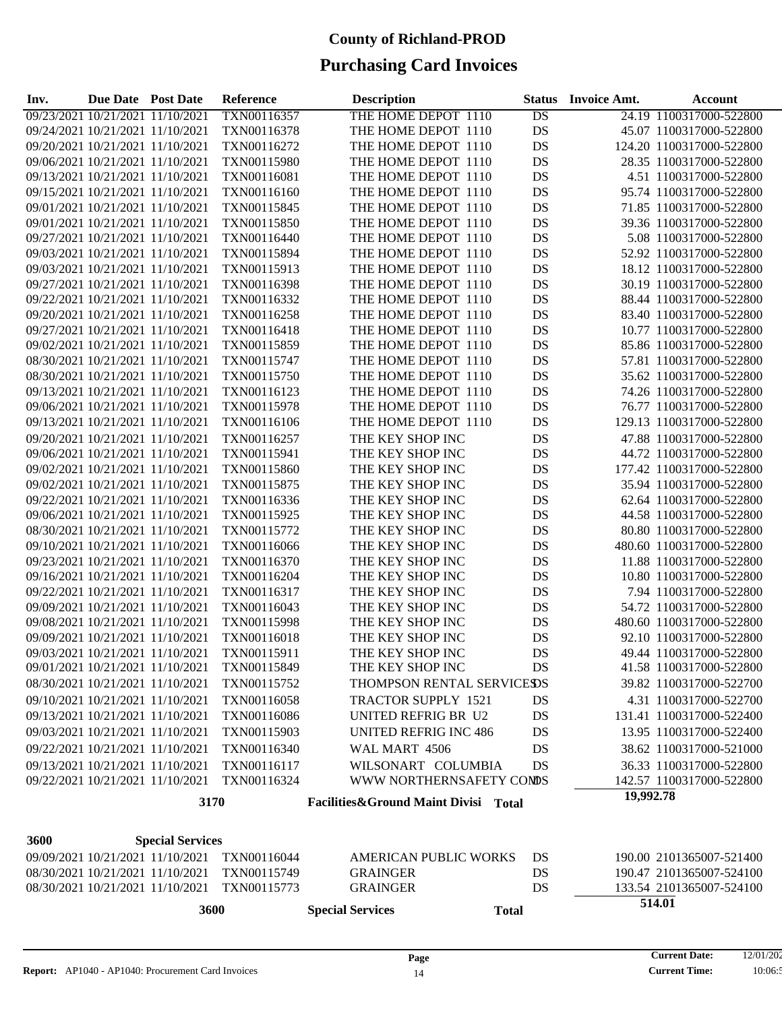| Inv.                             | Due Date Post Date |                                  | Reference   | <b>Description</b>                   | Status          | <b>Invoice Amt.</b> | Account                  |
|----------------------------------|--------------------|----------------------------------|-------------|--------------------------------------|-----------------|---------------------|--------------------------|
| 09/23/2021 10/21/2021 11/10/2021 |                    |                                  | TXN00116357 | THE HOME DEPOT 1110                  | $\overline{DS}$ |                     | 24.19 1100317000-522800  |
| 09/24/2021 10/21/2021 11/10/2021 |                    |                                  | TXN00116378 | THE HOME DEPOT 1110                  | DS              |                     | 45.07 1100317000-522800  |
| 09/20/2021 10/21/2021 11/10/2021 |                    |                                  | TXN00116272 | THE HOME DEPOT 1110                  | DS              |                     | 124.20 1100317000-522800 |
| 09/06/2021 10/21/2021 11/10/2021 |                    |                                  | TXN00115980 | THE HOME DEPOT 1110                  | DS              |                     | 28.35 1100317000-522800  |
| 09/13/2021 10/21/2021 11/10/2021 |                    |                                  | TXN00116081 | THE HOME DEPOT 1110                  | DS              |                     | 4.51 1100317000-522800   |
| 09/15/2021 10/21/2021 11/10/2021 |                    |                                  | TXN00116160 | THE HOME DEPOT 1110                  | DS              |                     | 95.74 1100317000-522800  |
| 09/01/2021 10/21/2021 11/10/2021 |                    |                                  | TXN00115845 | THE HOME DEPOT 1110                  | DS              |                     | 71.85 1100317000-522800  |
| 09/01/2021 10/21/2021 11/10/2021 |                    |                                  | TXN00115850 | THE HOME DEPOT 1110                  | DS              |                     | 39.36 1100317000-522800  |
| 09/27/2021 10/21/2021 11/10/2021 |                    |                                  | TXN00116440 | THE HOME DEPOT 1110                  | DS              |                     | 5.08 1100317000-522800   |
| 09/03/2021 10/21/2021 11/10/2021 |                    |                                  | TXN00115894 | THE HOME DEPOT 1110                  | DS              |                     | 52.92 1100317000-522800  |
| 09/03/2021 10/21/2021 11/10/2021 |                    |                                  | TXN00115913 | THE HOME DEPOT 1110                  | DS              |                     | 18.12 1100317000-522800  |
| 09/27/2021 10/21/2021 11/10/2021 |                    |                                  | TXN00116398 | THE HOME DEPOT 1110                  | DS              |                     | 30.19 1100317000-522800  |
| 09/22/2021 10/21/2021 11/10/2021 |                    |                                  | TXN00116332 | THE HOME DEPOT 1110                  | DS              |                     | 88.44 1100317000-522800  |
| 09/20/2021 10/21/2021 11/10/2021 |                    |                                  | TXN00116258 | THE HOME DEPOT 1110                  | DS              |                     | 83.40 1100317000-522800  |
| 09/27/2021 10/21/2021 11/10/2021 |                    |                                  | TXN00116418 | THE HOME DEPOT 1110                  | DS              |                     | 10.77 1100317000-522800  |
| 09/02/2021 10/21/2021 11/10/2021 |                    |                                  | TXN00115859 | THE HOME DEPOT 1110                  | DS              |                     | 85.86 1100317000-522800  |
| 08/30/2021 10/21/2021 11/10/2021 |                    |                                  | TXN00115747 | THE HOME DEPOT 1110                  | DS              |                     | 57.81 1100317000-522800  |
| 08/30/2021 10/21/2021 11/10/2021 |                    |                                  | TXN00115750 | THE HOME DEPOT 1110                  | DS              |                     | 35.62 1100317000-522800  |
| 09/13/2021 10/21/2021 11/10/2021 |                    |                                  | TXN00116123 | THE HOME DEPOT 1110                  | DS              |                     | 74.26 1100317000-522800  |
| 09/06/2021 10/21/2021 11/10/2021 |                    |                                  | TXN00115978 | THE HOME DEPOT 1110                  | DS              |                     | 76.77 1100317000-522800  |
| 09/13/2021 10/21/2021 11/10/2021 |                    |                                  | TXN00116106 | THE HOME DEPOT 1110                  | DS              |                     | 129.13 1100317000-522800 |
| 09/20/2021 10/21/2021 11/10/2021 |                    |                                  | TXN00116257 | THE KEY SHOP INC                     | DS              |                     | 47.88 1100317000-522800  |
| 09/06/2021 10/21/2021 11/10/2021 |                    |                                  | TXN00115941 | THE KEY SHOP INC                     | DS              |                     | 44.72 1100317000-522800  |
| 09/02/2021 10/21/2021 11/10/2021 |                    |                                  | TXN00115860 | THE KEY SHOP INC                     | DS              |                     | 177.42 1100317000-522800 |
| 09/02/2021 10/21/2021 11/10/2021 |                    |                                  | TXN00115875 | THE KEY SHOP INC                     | DS              |                     | 35.94 1100317000-522800  |
| 09/22/2021 10/21/2021 11/10/2021 |                    |                                  | TXN00116336 | THE KEY SHOP INC                     | DS              |                     | 62.64 1100317000-522800  |
| 09/06/2021 10/21/2021 11/10/2021 |                    |                                  | TXN00115925 | THE KEY SHOP INC                     | DS              |                     | 44.58 1100317000-522800  |
| 08/30/2021 10/21/2021 11/10/2021 |                    |                                  | TXN00115772 | THE KEY SHOP INC                     | DS              |                     | 80.80 1100317000-522800  |
| 09/10/2021 10/21/2021 11/10/2021 |                    |                                  | TXN00116066 | THE KEY SHOP INC                     | DS              |                     | 480.60 1100317000-522800 |
| 09/23/2021 10/21/2021 11/10/2021 |                    |                                  | TXN00116370 | THE KEY SHOP INC                     | DS              |                     | 11.88 1100317000-522800  |
| 09/16/2021 10/21/2021 11/10/2021 |                    |                                  | TXN00116204 | THE KEY SHOP INC                     | DS              |                     | 10.80 1100317000-522800  |
| 09/22/2021 10/21/2021 11/10/2021 |                    |                                  | TXN00116317 | THE KEY SHOP INC                     | DS              |                     | 7.94 1100317000-522800   |
| 09/09/2021 10/21/2021 11/10/2021 |                    |                                  | TXN00116043 | THE KEY SHOP INC                     | DS              |                     | 54.72 1100317000-522800  |
| 09/08/2021 10/21/2021 11/10/2021 |                    |                                  | TXN00115998 | THE KEY SHOP INC                     | DS              |                     | 480.60 1100317000-522800 |
| 09/09/2021 10/21/2021 11/10/2021 |                    |                                  | TXN00116018 | THE KEY SHOP INC                     | DS              |                     | 92.10 1100317000-522800  |
| 09/03/2021 10/21/2021 11/10/2021 |                    |                                  | TXN00115911 | THE KEY SHOP INC                     | DS              |                     | 49.44 1100317000-522800  |
| 09/01/2021 10/21/2021 11/10/2021 |                    |                                  | TXN00115849 | THE KEY SHOP INC                     | DS              |                     | 41.58 1100317000-522800  |
|                                  |                    | 08/30/2021 10/21/2021 11/10/2021 | TXN00115752 | THOMPSON RENTAL SERVICESDS           |                 |                     | 39.82 1100317000-522700  |
|                                  |                    | 09/10/2021 10/21/2021 11/10/2021 | TXN00116058 | <b>TRACTOR SUPPLY 1521</b>           | DS              |                     | 4.31 1100317000-522700   |
|                                  |                    | 09/13/2021 10/21/2021 11/10/2021 | TXN00116086 | UNITED REFRIG BR U2                  | DS              |                     | 131.41 1100317000-522400 |
|                                  |                    |                                  |             |                                      |                 |                     |                          |
| 09/03/2021 10/21/2021 11/10/2021 |                    |                                  | TXN00115903 | <b>UNITED REFRIG INC 486</b>         | DS              |                     | 13.95 1100317000-522400  |
| 09/22/2021 10/21/2021 11/10/2021 |                    |                                  | TXN00116340 | WAL MART 4506                        | DS              |                     | 38.62 1100317000-521000  |
| 09/13/2021 10/21/2021 11/10/2021 |                    |                                  | TXN00116117 | WILSONART COLUMBIA                   | DS              |                     | 36.33 1100317000-522800  |
|                                  |                    | 09/22/2021 10/21/2021 11/10/2021 | TXN00116324 | WWW NORTHERNSAFETY CONDS             |                 |                     | 142.57 1100317000-522800 |
|                                  |                    | 3170                             |             | Facilities&Ground Maint Divisi Total |                 | 19,992.78           |                          |
|                                  |                    |                                  |             |                                      |                 |                     |                          |
| 3600                             |                    | <b>Special Services</b>          |             |                                      |                 |                     |                          |
|                                  |                    | 09/09/2021 10/21/2021 11/10/2021 | TXN00116044 | <b>AMERICAN PUBLIC WORKS</b>         | DS              |                     | 190.00 2101365007-521400 |
|                                  |                    | 08/30/2021 10/21/2021 11/10/2021 | TXN00115749 | <b>GRAINGER</b>                      | DS              |                     | 190.47 2101365007-524100 |
|                                  |                    | 08/30/2021 10/21/2021 11/10/2021 | TXN00115773 | <b>GRAINGER</b>                      | DS              |                     | 133.54 2101365007-524100 |
|                                  |                    | 3600                             |             | <b>Special Services</b>              | <b>Total</b>    |                     | 514.01                   |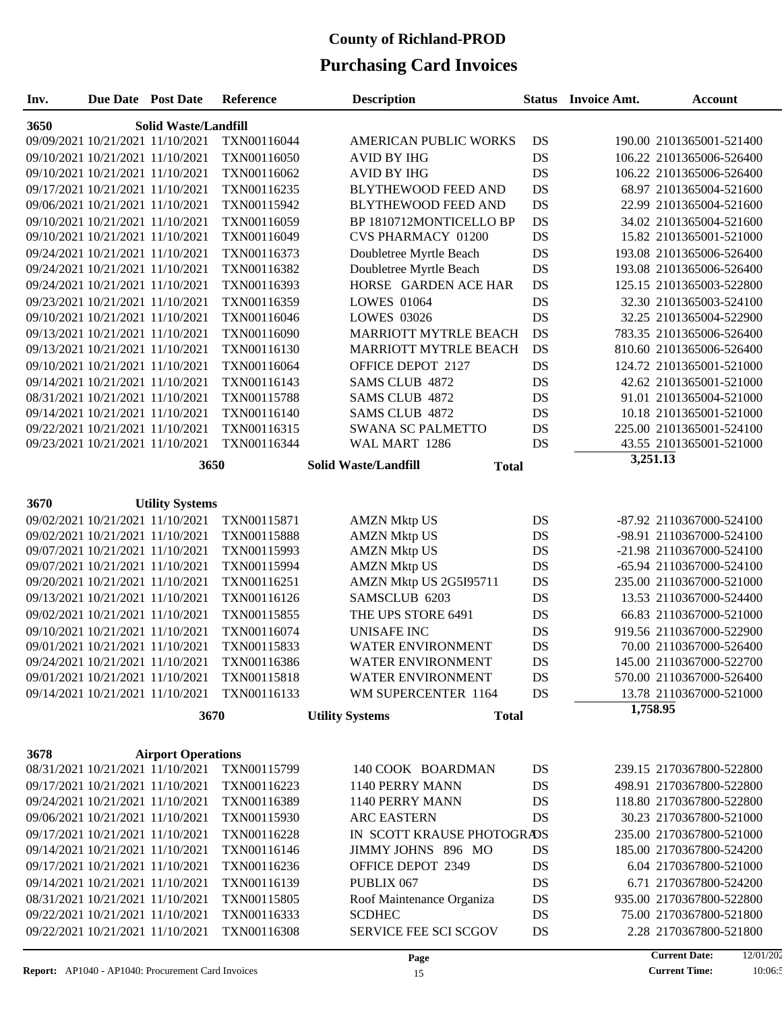| Inv.                                | <b>Due Date</b> Post Date        |                                  | Reference   | <b>Description</b>           | <b>Status</b> | Invoice Amt. | <b>Account</b>           |  |  |
|-------------------------------------|----------------------------------|----------------------------------|-------------|------------------------------|---------------|--------------|--------------------------|--|--|
| 3650<br><b>Solid Waste/Landfill</b> |                                  |                                  |             |                              |               |              |                          |  |  |
|                                     |                                  | 09/09/2021 10/21/2021 11/10/2021 | TXN00116044 | <b>AMERICAN PUBLIC WORKS</b> | DS            |              | 190.00 2101365001-521400 |  |  |
|                                     |                                  | 09/10/2021 10/21/2021 11/10/2021 | TXN00116050 | <b>AVID BY IHG</b>           | DS            |              | 106.22 2101365006-526400 |  |  |
|                                     |                                  | 09/10/2021 10/21/2021 11/10/2021 | TXN00116062 | <b>AVID BY IHG</b>           | DS            |              | 106.22 2101365006-526400 |  |  |
|                                     |                                  | 09/17/2021 10/21/2021 11/10/2021 | TXN00116235 | <b>BLYTHEWOOD FEED AND</b>   | DS            |              | 68.97 2101365004-521600  |  |  |
|                                     |                                  | 09/06/2021 10/21/2021 11/10/2021 | TXN00115942 | BLYTHEWOOD FEED AND          | DS            |              | 22.99 2101365004-521600  |  |  |
|                                     |                                  | 09/10/2021 10/21/2021 11/10/2021 | TXN00116059 | BP 1810712MONTICELLO BP      | DS            |              | 34.02 2101365004-521600  |  |  |
|                                     |                                  | 09/10/2021 10/21/2021 11/10/2021 | TXN00116049 | <b>CVS PHARMACY 01200</b>    | DS            |              | 15.82 2101365001-521000  |  |  |
|                                     |                                  | 09/24/2021 10/21/2021 11/10/2021 | TXN00116373 | Doubletree Myrtle Beach      | DS            |              | 193.08 2101365006-526400 |  |  |
|                                     |                                  | 09/24/2021 10/21/2021 11/10/2021 | TXN00116382 | Doubletree Myrtle Beach      | DS            |              | 193.08 2101365006-526400 |  |  |
|                                     |                                  | 09/24/2021 10/21/2021 11/10/2021 | TXN00116393 | HORSE GARDEN ACE HAR         | DS            |              | 125.15 2101365003-522800 |  |  |
|                                     |                                  | 09/23/2021 10/21/2021 11/10/2021 | TXN00116359 | <b>LOWES 01064</b>           | DS            |              | 32.30 2101365003-524100  |  |  |
|                                     |                                  | 09/10/2021 10/21/2021 11/10/2021 | TXN00116046 | <b>LOWES 03026</b>           | DS            |              | 32.25 2101365004-522900  |  |  |
|                                     |                                  | 09/13/2021 10/21/2021 11/10/2021 | TXN00116090 | <b>MARRIOTT MYTRLE BEACH</b> | DS            |              | 783.35 2101365006-526400 |  |  |
|                                     |                                  | 09/13/2021 10/21/2021 11/10/2021 | TXN00116130 | MARRIOTT MYTRLE BEACH        | DS            |              | 810.60 2101365006-526400 |  |  |
|                                     |                                  | 09/10/2021 10/21/2021 11/10/2021 | TXN00116064 | OFFICE DEPOT 2127            | DS            |              | 124.72 2101365001-521000 |  |  |
|                                     |                                  | 09/14/2021 10/21/2021 11/10/2021 | TXN00116143 | <b>SAMS CLUB 4872</b>        | DS            |              | 42.62 2101365001-521000  |  |  |
|                                     |                                  | 08/31/2021 10/21/2021 11/10/2021 | TXN00115788 | SAMS CLUB 4872               | DS            |              | 91.01 2101365004-521000  |  |  |
|                                     |                                  | 09/14/2021 10/21/2021 11/10/2021 | TXN00116140 | SAMS CLUB 4872               | DS            |              | 10.18 2101365001-521000  |  |  |
|                                     |                                  | 09/22/2021 10/21/2021 11/10/2021 | TXN00116315 | SWANA SC PALMETTO            | DS            |              | 225.00 2101365001-524100 |  |  |
|                                     |                                  | 09/23/2021 10/21/2021 11/10/2021 | TXN00116344 | WAL MART 1286                | DS            |              | 43.55 2101365001-521000  |  |  |
|                                     |                                  | 3650                             |             | <b>Solid Waste/Landfill</b>  | <b>Total</b>  |              | 3,251.13                 |  |  |
|                                     |                                  |                                  |             |                              |               |              |                          |  |  |
| 3670                                |                                  | <b>Utility Systems</b>           |             |                              |               |              |                          |  |  |
|                                     |                                  | 09/02/2021 10/21/2021 11/10/2021 | TXN00115871 | <b>AMZN Mktp US</b>          | DS            |              | -87.92 2110367000-524100 |  |  |
|                                     |                                  | 09/02/2021 10/21/2021 11/10/2021 | TXN00115888 | <b>AMZN Mktp US</b>          | DS            |              | -98.91 2110367000-524100 |  |  |
|                                     |                                  | 09/07/2021 10/21/2021 11/10/2021 | TXN00115993 | <b>AMZN Mktp US</b>          | DS            |              | -21.98 2110367000-524100 |  |  |
|                                     |                                  | 09/07/2021 10/21/2021 11/10/2021 | TXN00115994 | <b>AMZN Mktp US</b>          | DS            |              | -65.94 2110367000-524100 |  |  |
|                                     |                                  | 09/20/2021 10/21/2021 11/10/2021 | TXN00116251 | AMZN Mktp US 2G5I95711       | DS            |              | 235.00 2110367000-521000 |  |  |
|                                     |                                  | 09/13/2021 10/21/2021 11/10/2021 | TXN00116126 | SAMSCLUB 6203                | DS            |              | 13.53 2110367000-524400  |  |  |
|                                     |                                  | 09/02/2021 10/21/2021 11/10/2021 | TXN00115855 | THE UPS STORE 6491           | DS            |              | 66.83 2110367000-521000  |  |  |
|                                     |                                  | 09/10/2021 10/21/2021 11/10/2021 | TXN00116074 | <b>UNISAFE INC</b>           | DS            |              | 919.56 2110367000-522900 |  |  |
|                                     |                                  | 09/01/2021 10/21/2021 11/10/2021 | TXN00115833 | <b>WATER ENVIRONMENT</b>     | DS            |              | 70.00 2110367000-526400  |  |  |
|                                     | 09/24/2021 10/21/2021 11/10/2021 |                                  | TXN00116386 | WATER ENVIRONMENT            | DS            |              | 145.00 2110367000-522700 |  |  |
|                                     |                                  | 09/01/2021 10/21/2021 11/10/2021 | TXN00115818 | <b>WATER ENVIRONMENT</b>     | DS            |              | 570.00 2110367000-526400 |  |  |
|                                     |                                  | 09/14/2021 10/21/2021 11/10/2021 | TXN00116133 | WM SUPERCENTER 1164          | DS            |              | 13.78 2110367000-521000  |  |  |
|                                     |                                  | 3670                             |             | <b>Utility Systems</b>       | <b>Total</b>  | 1,758.95     |                          |  |  |
|                                     |                                  |                                  |             |                              |               |              |                          |  |  |
| 3678                                |                                  | <b>Airport Operations</b>        |             |                              |               |              |                          |  |  |
|                                     |                                  | 08/31/2021 10/21/2021 11/10/2021 | TXN00115799 | 140 COOK BOARDMAN            | DS            |              | 239.15 2170367800-522800 |  |  |
|                                     |                                  | 09/17/2021 10/21/2021 11/10/2021 | TXN00116223 | 1140 PERRY MANN              | DS            |              | 498.91 2170367800-522800 |  |  |
|                                     |                                  | 09/24/2021 10/21/2021 11/10/2021 | TXN00116389 | 1140 PERRY MANN              | DS            |              | 118.80 2170367800-522800 |  |  |
|                                     |                                  | 09/06/2021 10/21/2021 11/10/2021 | TXN00115930 | <b>ARC EASTERN</b>           | DS            |              | 30.23 2170367800-521000  |  |  |
|                                     |                                  | 09/17/2021 10/21/2021 11/10/2021 | TXN00116228 | IN SCOTT KRAUSE PHOTOGRADS   |               |              | 235.00 2170367800-521000 |  |  |
|                                     |                                  | 09/14/2021 10/21/2021 11/10/2021 | TXN00116146 | JIMMY JOHNS 896 MO           | DS            |              | 185.00 2170367800-524200 |  |  |
|                                     |                                  | 09/17/2021 10/21/2021 11/10/2021 | TXN00116236 | OFFICE DEPOT 2349            | DS            |              | 6.04 2170367800-521000   |  |  |
|                                     |                                  | 09/14/2021 10/21/2021 11/10/2021 | TXN00116139 | PUBLIX 067                   | DS            |              | 6.71 2170367800-524200   |  |  |
|                                     |                                  | 08/31/2021 10/21/2021 11/10/2021 | TXN00115805 | Roof Maintenance Organiza    | DS            |              | 935.00 2170367800-522800 |  |  |
|                                     |                                  | 09/22/2021 10/21/2021 11/10/2021 | TXN00116333 | <b>SCDHEC</b>                | DS            |              | 75.00 2170367800-521800  |  |  |
|                                     |                                  | 09/22/2021 10/21/2021 11/10/2021 | TXN00116308 | SERVICE FEE SCI SCGOV        | DS            |              | 2.28 2170367800-521800   |  |  |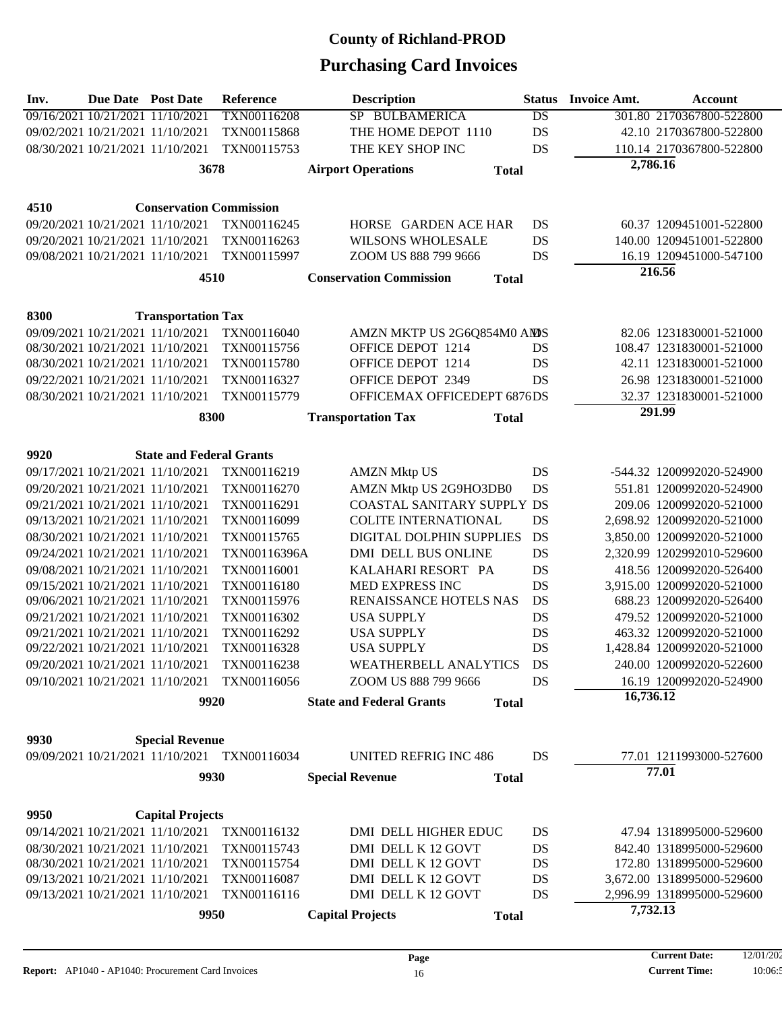| Inv. | <b>Due Date Post Date</b>        |                                  | <b>Reference</b>                             |                           | <b>Description</b>              |              | <b>Status</b>   | <b>Invoice Amt.</b> | <b>Account</b>             |
|------|----------------------------------|----------------------------------|----------------------------------------------|---------------------------|---------------------------------|--------------|-----------------|---------------------|----------------------------|
|      | 09/16/2021 10/21/2021 11/10/2021 |                                  | TXN00116208                                  |                           | SP BULBAMERICA                  |              | $\overline{DS}$ |                     | 301.80 2170367800-522800   |
|      |                                  | 09/02/2021 10/21/2021 11/10/2021 | TXN00115868                                  |                           | THE HOME DEPOT 1110             |              | <b>DS</b>       |                     | 42.10 2170367800-522800    |
|      |                                  | 08/30/2021 10/21/2021 11/10/2021 | TXN00115753                                  |                           | THE KEY SHOP INC                |              | DS              |                     | 110.14 2170367800-522800   |
|      |                                  | 3678                             |                                              | <b>Airport Operations</b> |                                 | <b>Total</b> |                 | 2,786.16            |                            |
|      |                                  |                                  |                                              |                           |                                 |              |                 |                     |                            |
| 4510 |                                  | <b>Conservation Commission</b>   |                                              |                           |                                 |              |                 |                     |                            |
|      |                                  | 09/20/2021 10/21/2021 11/10/2021 | TXN00116245                                  |                           | HORSE GARDEN ACE HAR            |              | DS              |                     | 60.37 1209451001-522800    |
|      |                                  | 09/20/2021 10/21/2021 11/10/2021 | TXN00116263                                  |                           | <b>WILSONS WHOLESALE</b>        |              | DS              |                     | 140.00 1209451001-522800   |
|      |                                  | 09/08/2021 10/21/2021 11/10/2021 | TXN00115997                                  |                           | ZOOM US 888 799 9666            |              | DS              |                     | 16.19 1209451000-547100    |
|      |                                  | 4510                             |                                              |                           | <b>Conservation Commission</b>  | <b>Total</b> |                 |                     | 216.56                     |
|      |                                  |                                  |                                              |                           |                                 |              |                 |                     |                            |
| 8300 |                                  | <b>Transportation Tax</b>        |                                              |                           |                                 |              |                 |                     |                            |
|      |                                  | 09/09/2021 10/21/2021 11/10/2021 | TXN00116040                                  |                           | AMZN MKTP US 2G6Q854M0 AMS      |              |                 |                     | 82.06 1231830001-521000    |
|      |                                  | 08/30/2021 10/21/2021 11/10/2021 | TXN00115756                                  |                           | OFFICE DEPOT 1214               |              | DS              |                     | 108.47 1231830001-521000   |
|      |                                  | 08/30/2021 10/21/2021 11/10/2021 | TXN00115780                                  |                           | OFFICE DEPOT 1214               |              | DS              |                     | 42.11 1231830001-521000    |
|      |                                  | 09/22/2021 10/21/2021 11/10/2021 | TXN00116327                                  |                           | OFFICE DEPOT 2349               |              | DS              |                     | 26.98 1231830001-521000    |
|      | 08/30/2021 10/21/2021 11/10/2021 |                                  | TXN00115779                                  |                           | OFFICEMAX OFFICEDEPT 6876DS     |              |                 |                     | 32.37 1231830001-521000    |
|      |                                  | 8300                             |                                              | <b>Transportation Tax</b> |                                 | <b>Total</b> |                 |                     | 291.99                     |
|      |                                  |                                  |                                              |                           |                                 |              |                 |                     |                            |
| 9920 |                                  | <b>State and Federal Grants</b>  |                                              |                           |                                 |              |                 |                     |                            |
|      |                                  | 09/17/2021 10/21/2021 11/10/2021 | TXN00116219                                  |                           | <b>AMZN Mktp US</b>             |              | DS              |                     | -544.32 1200992020-524900  |
|      |                                  | 09/20/2021 10/21/2021 11/10/2021 | TXN00116270                                  |                           | AMZN Mktp US 2G9HO3DB0          |              | <b>DS</b>       |                     | 551.81 1200992020-524900   |
|      | 09/21/2021 10/21/2021 11/10/2021 |                                  | TXN00116291                                  |                           | COASTAL SANITARY SUPPLY DS      |              |                 |                     | 209.06 1200992020-521000   |
|      |                                  | 09/13/2021 10/21/2021 11/10/2021 | TXN00116099                                  |                           | <b>COLITE INTERNATIONAL</b>     |              | DS              |                     | 2,698.92 1200992020-521000 |
|      |                                  | 08/30/2021 10/21/2021 11/10/2021 | TXN00115765                                  |                           | DIGITAL DOLPHIN SUPPLIES        |              | DS              |                     | 3,850.00 1200992020-521000 |
|      |                                  | 09/24/2021 10/21/2021 11/10/2021 | TXN00116396A                                 |                           | DMI DELL BUS ONLINE             |              | <b>DS</b>       |                     | 2,320.99 1202992010-529600 |
|      |                                  | 09/08/2021 10/21/2021 11/10/2021 | TXN00116001                                  |                           | KALAHARI RESORT PA              |              | DS              |                     | 418.56 1200992020-526400   |
|      |                                  | 09/15/2021 10/21/2021 11/10/2021 | TXN00116180                                  |                           | MED EXPRESS INC                 |              | DS              |                     | 3,915.00 1200992020-521000 |
|      |                                  | 09/06/2021 10/21/2021 11/10/2021 | TXN00115976                                  |                           | RENAISSANCE HOTELS NAS          |              | DS              |                     | 688.23 1200992020-526400   |
|      | 09/21/2021 10/21/2021 11/10/2021 |                                  | TXN00116302                                  |                           | <b>USA SUPPLY</b>               |              | DS              |                     | 479.52 1200992020-521000   |
|      | 09/21/2021 10/21/2021 11/10/2021 |                                  | TXN00116292                                  |                           | <b>USA SUPPLY</b>               |              | <b>DS</b>       |                     | 463.32 1200992020-521000   |
|      | 09/22/2021 10/21/2021 11/10/2021 |                                  | TXN00116328                                  |                           | <b>USA SUPPLY</b>               |              | DS              |                     | 1,428.84 1200992020-521000 |
|      |                                  | 09/20/2021 10/21/2021 11/10/2021 | TXN00116238                                  |                           | WEATHERBELL ANALYTICS           |              | DS              |                     | 240.00 1200992020-522600   |
|      |                                  | 09/10/2021 10/21/2021 11/10/2021 | TXN00116056                                  |                           | ZOOM US 888 799 9666            |              | DS              |                     | 16.19 1200992020-524900    |
|      |                                  | 9920                             |                                              |                           | <b>State and Federal Grants</b> | <b>Total</b> |                 | 16,736.12           |                            |
|      |                                  |                                  |                                              |                           |                                 |              |                 |                     |                            |
| 9930 |                                  | <b>Special Revenue</b>           |                                              |                           |                                 |              |                 |                     |                            |
|      |                                  |                                  | 09/09/2021 10/21/2021 11/10/2021 TXN00116034 |                           | <b>UNITED REFRIG INC 486</b>    |              | DS              |                     | 77.01 1211993000-527600    |
|      |                                  | 9930                             |                                              | <b>Special Revenue</b>    |                                 | <b>Total</b> |                 |                     | 77.01                      |
|      |                                  |                                  |                                              |                           |                                 |              |                 |                     |                            |
| 9950 |                                  | <b>Capital Projects</b>          |                                              |                           |                                 |              |                 |                     |                            |
|      |                                  | 09/14/2021 10/21/2021 11/10/2021 | TXN00116132                                  |                           | DMI DELL HIGHER EDUC            |              | DS              |                     | 47.94 1318995000-529600    |
|      |                                  | 08/30/2021 10/21/2021 11/10/2021 | TXN00115743                                  |                           | DMI DELL K 12 GOVT              |              | DS              |                     | 842.40 1318995000-529600   |
|      |                                  | 08/30/2021 10/21/2021 11/10/2021 | TXN00115754                                  |                           | DMI DELL K 12 GOVT              |              | DS              |                     | 172.80 1318995000-529600   |
|      |                                  | 09/13/2021 10/21/2021 11/10/2021 | TXN00116087                                  |                           | DMI DELL K 12 GOVT              |              | DS              |                     | 3,672.00 1318995000-529600 |
|      |                                  | 09/13/2021 10/21/2021 11/10/2021 | TXN00116116                                  |                           | DMI DELL K 12 GOVT              |              | DS              |                     | 2,996.99 1318995000-529600 |
| 9950 |                                  | <b>Capital Projects</b>          |                                              | <b>Total</b>              |                                 | 7,732.13     |                 |                     |                            |